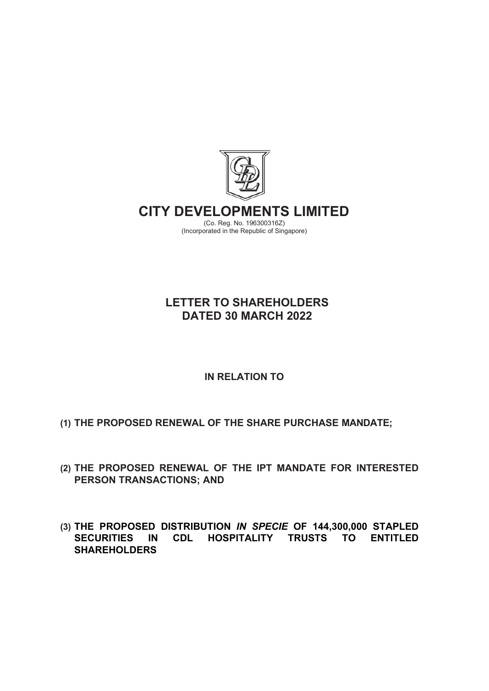

# **LETTER TO SHAREHOLDERS DATED 30 MARCH 2022**

# **IN RELATION TO**

- **(1) THE PROPOSED RENEWAL OF THE SHARE PURCHASE MANDATE;**
- **(2) THE PROPOSED RENEWAL OF THE IPT MANDATE FOR INTERESTED PERSON TRANSACTIONS; AND**
- **(3) THE PROPOSED DISTRIBUTION** *IN SPECIE* **OF 144,300,000 STAPLED HOSPITALITY TRUSTS TO ENTITLED SHAREHOLDERS**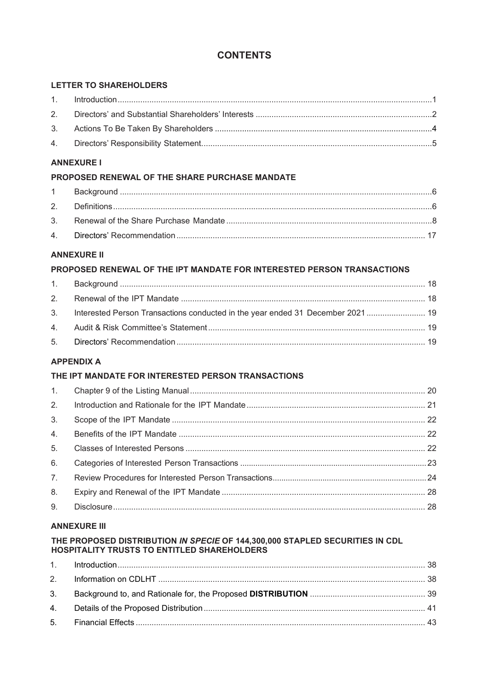# **CONTENTS**

# **LETTER TO SHAREHOLDERS**

# **ANNEXURE I**

# PROPOSED RENEWAL OF THE SHARE PURCHASE MANDATE

# **ANNEXURE II**

# PROPOSED RENEWAL OF THE IPT MANDATE FOR INTERESTED PERSON TRANSACTIONS

| 3. Interested Person Transactions conducted in the year ended 31 December 2021  19 |  |
|------------------------------------------------------------------------------------|--|
|                                                                                    |  |
|                                                                                    |  |
|                                                                                    |  |

# **APPENDIX A**

# THE IPT MANDATE FOR INTERESTED PERSON TRANSACTIONS

| 2.             |  |
|----------------|--|
| 3 <sub>1</sub> |  |
| 4.             |  |
| 5.             |  |
| 6.             |  |
| 7.             |  |
| 8.             |  |
| 9.             |  |

# **ANNEXURE III**

# THE PROPOSED DISTRIBUTION IN SPECIE OF 144,300,000 STAPLED SECURITIES IN CDL HOSPITALITY TRUSTS TO ENTITLED SHAREHOLDERS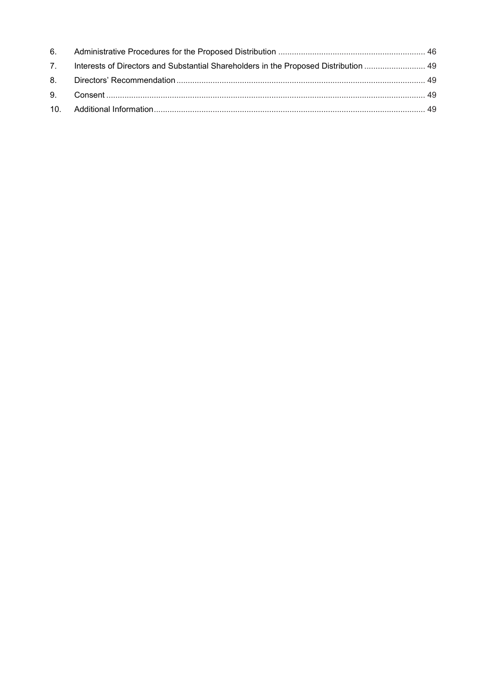| 7. Interests of Directors and Substantial Shareholders in the Proposed Distribution  49 |  |
|-----------------------------------------------------------------------------------------|--|
|                                                                                         |  |
|                                                                                         |  |
|                                                                                         |  |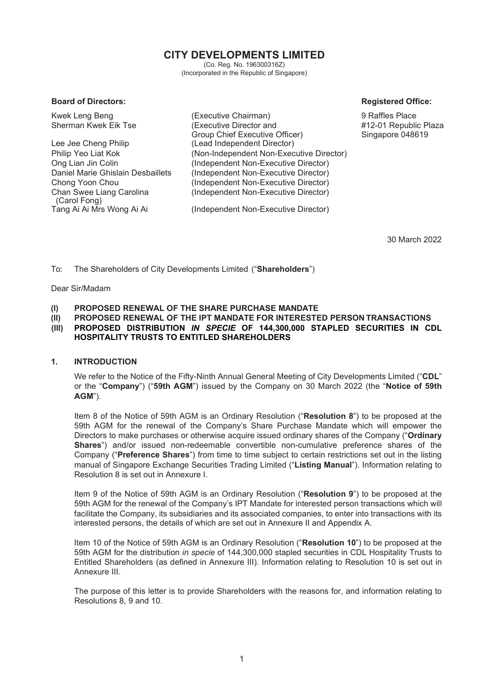# **CITY DEVELOPMENTS LIMITED**

(Co. Reg. No. 196300316Z) (Incorporated in the Republic of Singapore)

#### **Board of Directors: Registered Office: Registered Office: Registered Office:**

Kwek Leng Beng (Executive Chairman) 9 Raffles Place (Executive Director and Group Chief Executive Officer) Lee Jee Cheng Philip (Lead Independent Director) Philip Yeo Liat Kok (Non-Independent Non-Executive Director) Ong Lian Jin Colin (Independent Non-Executive Director) Daniel Marie Ghislain Desbaillets (Independent Non-Executive Director) Chong Yoon Chou (Independent Non-Executive Director) Chan Swee Liang Carolina (Carol Fong) (Independent Non-Executive Director) (Independent Non-Executive Director)

#12-01 Republic Plaza Singapore 048619

30 March 2022

To: The Shareholders of City Developments Limited ("**Shareholders**")

Dear Sir/Madam

- **(I) PROPOSED RENEWAL OF THE SHARE PURCHASE MANDATE**
- 
- **(II) PROPOSED RENEWAL OF THE IPT MANDATE FOR INTERESTED PERSON TRANSACTIONS (III) PROPOSED DISTRIBUTION** *IN SPECIE* **OF 144,300,000 STAPLED SECURITIES IN CDL HOSPITALITY TRUSTS TO ENTITLED SHAREHOLDERS**

## <span id="page-3-0"></span>**1. INTRODUCTION**

We refer to the Notice of the Fifty-Ninth Annual General Meeting of City Developments Limited ("**CDL**" or the "**Company**") ("**59th AGM**") issued by the Company on 30 March 2022 (the "**Notice of 59th AGM**").

Item 8 of the Notice of 59th AGM is an Ordinary Resolution ("**Resolution 8**") to be proposed at the 59th AGM for the renewal of the Company's Share Purchase Mandate which will empower the Directors to make purchases or otherwise acquire issued ordinary shares of the Company ("**Ordinary Shares**") and/or issued non-redeemable convertible non-cumulative preference shares of the Company ("**Preference Shares**") from time to time subject to certain restrictions set out in the listing manual of Singapore Exchange Securities Trading Limited ("**Listing Manual**"). Information relating to Resolution 8 is set out in Annexure I.

Item 9 of the Notice of 59th AGM is an Ordinary Resolution ("**Resolution 9**") to be proposed at the 59th AGM for the renewal of the Company's IPT Mandate for interested person transactions which will facilitate the Company, its subsidiaries and its associated companies, to enter into transactions with its interested persons, the details of which are set out in Annexure II and Appendix A.

Item 10 of the Notice of 59th AGM is an Ordinary Resolution ("**Resolution 10**") to be proposed at the 59th AGM for the distribution *in specie* of 144,300,000 stapled securities in CDL Hospitality Trusts to Entitled Shareholders (as defined in Annexure III). Information relating to Resolution 10 is set out in Annexure III.

The purpose of this letter is to provide Shareholders with the reasons for, and information relating to Resolutions 8, 9 and 10.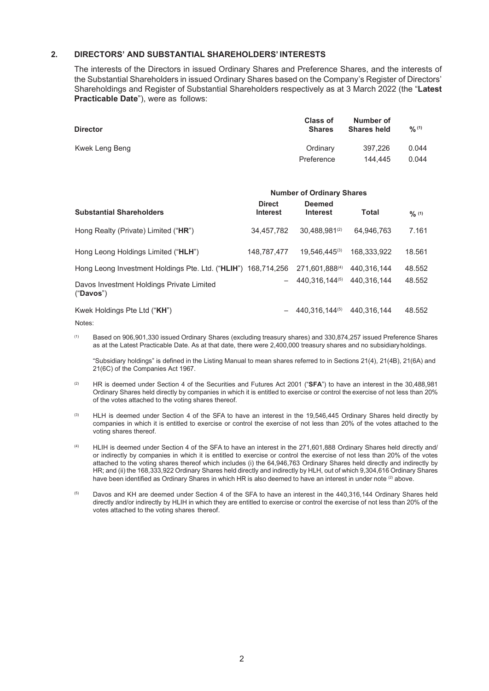#### <span id="page-4-0"></span>**2. DIRECTORS' AND SUBSTANTIAL SHAREHOLDERS' INTERESTS**

The interests of the Directors in issued Ordinary Shares and Preference Shares, and the interests of the Substantial Shareholders in issued Ordinary Shares based on the Company's Register of Directors' Shareholdings and Register of Substantial Shareholders respectively as at 3 March 2022 (the "**Latest Practicable Date**"), were as follows:

| <b>Director</b> | <b>Class of</b><br><b>Shares</b> | Number of<br><b>Shares held</b> | 9/6(1) |
|-----------------|----------------------------------|---------------------------------|--------|
| Kwek Leng Beng  | Ordinary                         | 397.226                         | 0.044  |
|                 | Preference                       | 144,445                         | 0.044  |

|                                                               | <b>Number of Ordinary Shares</b> |                                  |              |        |
|---------------------------------------------------------------|----------------------------------|----------------------------------|--------------|--------|
| <b>Substantial Shareholders</b>                               | <b>Direct</b><br><b>Interest</b> | <b>Deemed</b><br><b>Interest</b> | <b>Total</b> | 9/6(1) |
| Hong Realty (Private) Limited ("HR")                          | 34.457.782                       | 30.488.981(2)                    | 64.946.763   | 7.161  |
| Hong Leong Holdings Limited ("HLH")                           | 148.787.477                      | 19.546.445(3)                    | 168.333.922  | 18.561 |
| Hong Leong Investment Holdings Pte. Ltd. ("HLIH") 168,714,256 |                                  | 271.601.888(4)                   | 440.316.144  | 48.552 |
| Davos Investment Holdings Private Limited<br>("Davos")        |                                  | 440.316.144(5)                   | 440.316.144  | 48.552 |
| Kwek Holdings Pte Ltd ("KH")                                  |                                  | 440.316.144(5)                   | 440.316.144  | 48.552 |

Notes:

(1) Based on 906,901,330 issued Ordinary Shares (excluding treasury shares) and 330,874,257 issued Preference Shares as at the Latest Practicable Date. As at that date, there were 2,400,000 treasury shares and no subsidiaryholdings.

"Subsidiary holdings" is defined in the Listing Manual to mean shares referred to in Sections 21(4), 21(4B), 21(6A) and 21(6C) of the Companies Act 1967.

- (2) HR is deemed under Section 4 of the Securities and Futures Act 2001 ("**SFA**") to have an interest in the 30,488,981 Ordinary Shares held directly by companies in which it is entitled to exercise or control the exercise of not less than 20% of the votes attached to the voting shares thereof.
- <sup>(3)</sup> HLH is deemed under Section 4 of the SFA to have an interest in the 19,546,445 Ordinary Shares held directly by companies in which it is entitled to exercise or control the exercise of not less than 20% of the votes attached to the voting shares thereof.
- (4) HLIH is deemed under Section 4 of the SFA to have an interest in the 271,601,888 Ordinary Shares held directly and/ or indirectly by companies in which it is entitled to exercise or control the exercise of not less than 20% of the votes attached to the voting shares thereof which includes (i) the 64,946,763 Ordinary Shares held directly and indirectly by HR; and (ii) the 168,333,922 Ordinary Shares held directly and indirectly by HLH, out of which 9,304,616 Ordinary Shares have been identified as Ordinary Shares in which HR is also deemed to have an interest in under note (2) above.
- (5) Davos and KH are deemed under Section 4 of the SFA to have an interest in the 440,316,144 Ordinary Shares held directly and/or indirectly by HLIH in which they are entitled to exercise or control the exercise of not less than 20% of the votes attached to the voting shares thereof.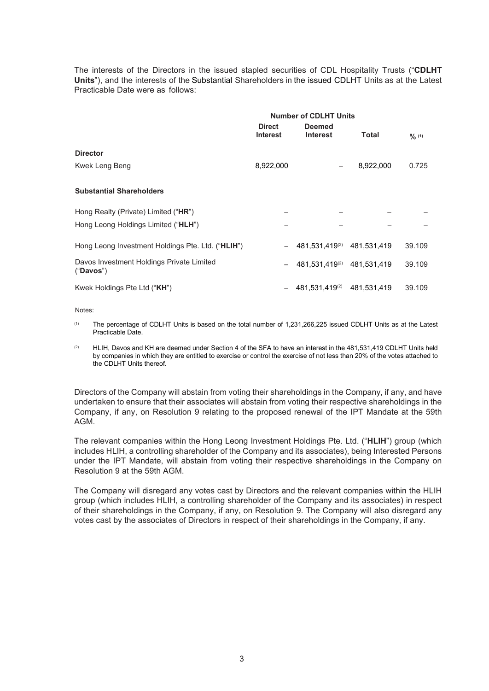The interests of the Directors in the issued stapled securities of CDL Hospitality Trusts ("**CDLHT Units**"), and the interests of the Substantial Shareholders in the issued CDLHT Units as at the Latest Practicable Date were as follows:

|                                                        | <b>Number of CDLHT Units</b>     |                                  |              |        |  |
|--------------------------------------------------------|----------------------------------|----------------------------------|--------------|--------|--|
|                                                        | <b>Direct</b><br><b>Interest</b> | <b>Deemed</b><br><b>Interest</b> | <b>Total</b> | 9/6(1) |  |
| <b>Director</b>                                        |                                  |                                  |              |        |  |
| Kwek Leng Beng                                         | 8,922,000                        |                                  | 8,922,000    | 0.725  |  |
| <b>Substantial Shareholders</b>                        |                                  |                                  |              |        |  |
| Hong Realty (Private) Limited ("HR")                   |                                  |                                  |              |        |  |
| Hong Leong Holdings Limited ("HLH")                    |                                  |                                  |              |        |  |
| Hong Leong Investment Holdings Pte. Ltd. ("HLIH")      |                                  | 481,531,419(2)                   | 481,531,419  | 39.109 |  |
| Davos Investment Holdings Private Limited<br>("Davos") |                                  | 481,531,419(2)                   | 481,531,419  | 39.109 |  |
| Kwek Holdings Pte Ltd ("KH")                           |                                  | 481.531.419(2)                   | 481.531.419  | 39.109 |  |

Notes:

- (1) The percentage of CDLHT Units is based on the total number of 1,231,266,225 issued CDLHT Units as at the Latest Practicable Date.
- (2) HLIH, Davos and KH are deemed under Section 4 of the SFA to have an interest in the 481,531,419 CDLHT Units held by companies in which they are entitled to exercise or control the exercise of not less than 20% of the votes attached to the CDLHT Units thereof.

Directors of the Company will abstain from voting their shareholdings in the Company, if any, and have undertaken to ensure that their associates will abstain from voting their respective shareholdings in the Company, if any, on Resolution 9 relating to the proposed renewal of the IPT Mandate at the 59th AGM.

The relevant companies within the Hong Leong Investment Holdings Pte. Ltd. ("**HLIH**") group (which includes HLIH, a controlling shareholder of the Company and its associates), being Interested Persons under the IPT Mandate, will abstain from voting their respective shareholdings in the Company on Resolution 9 at the 59th AGM.

The Company will disregard any votes cast by Directors and the relevant companies within the HLIH group (which includes HLIH, a controlling shareholder of the Company and its associates) in respect of their shareholdings in the Company, if any, on Resolution 9. The Company will also disregard any votes cast by the associates of Directors in respect of their shareholdings in the Company, if any.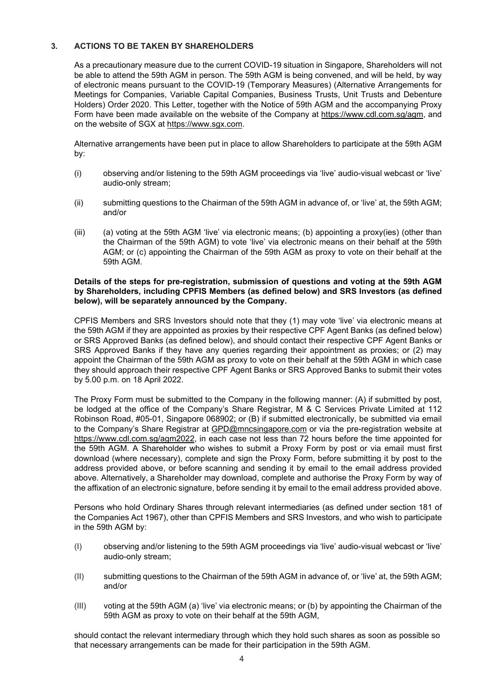# <span id="page-6-0"></span>**3. ACTIONS TO BE TAKEN BY SHAREHOLDERS**

As a precautionary measure due to the current COVID-19 situation in Singapore, Shareholders will not be able to attend the 59th AGM in person. The 59th AGM is being convened, and will be held, by way of electronic means pursuant to the COVID-19 (Temporary Measures) (Alternative Arrangements for Meetings for Companies, Variable Capital Companies, Business Trusts, Unit Trusts and Debenture Holders) Order 2020. This Letter, together with the Notice of 59th AGM and the accompanying Proxy Form have been made available on the website of the Company at [https://www.cdl.com.sg/agm,](https://www.cdl.com.sg/agm) and on the website of SGX at [https://www.sgx.com.](https://www.sgx.com/)

Alternative arrangements have been put in place to allow Shareholders to participate at the 59th AGM by:

- (i) observing and/or listening to the 59th AGM proceedings via 'live' audio-visual webcast or 'live' audio-only stream;
- (ii) submitting questions to the Chairman of the 59th AGM in advance of, or 'live' at, the 59th AGM; and/or
- (iii) (a) voting at the 59th AGM 'live' via electronic means; (b) appointing a proxy(ies) (other than the Chairman of the 59th AGM) to vote 'live' via electronic means on their behalf at the 59th AGM; or (c) appointing the Chairman of the 59th AGM as proxy to vote on their behalf at the 59th AGM.

#### **Details of the steps for pre-registration, submission of questions and voting at the 59th AGM by Shareholders, including CPFIS Members (as defined below) and SRS Investors (as defined below), will be separately announced by the Company.**

CPFIS Members and SRS Investors should note that they (1) may vote 'live' via electronic means at the 59th AGM if they are appointed as proxies by their respective CPF Agent Banks (as defined below) or SRS Approved Banks (as defined below), and should contact their respective CPF Agent Banks or SRS Approved Banks if they have any queries regarding their appointment as proxies; or (2) may appoint the Chairman of the 59th AGM as proxy to vote on their behalf at the 59th AGM in which case they should approach their respective CPF Agent Banks or SRS Approved Banks to submit their votes by 5.00 p.m. on 18 April 2022.

The Proxy Form must be submitted to the Company in the following manner: (A) if submitted by post, be lodged at the office of the Company's Share Registrar, M & C Services Private Limited at 112 Robinson Road, #05-01, Singapore 068902; or (B) if submitted electronically, be submitted via email to the Company's Share Registrar at [GPD@mncsingapore.com](mailto:GPD@mncsingapore.com) or via the pre-registration website at [https://www.cdl.com.sg/agm2022,](https://www.cdl.com.sg/agm2022) in each case not less than 72 hours before the time appointed for the 59th AGM. A Shareholder who wishes to submit a Proxy Form by post or via email must first download (where necessary), complete and sign the Proxy Form, before submitting it by post to the address provided above, or before scanning and sending it by email to the email address provided above. Alternatively, a Shareholder may download, complete and authorise the Proxy Form by way of the affixation of an electronic signature, before sending it by email to the email address provided above.

Persons who hold Ordinary Shares through relevant intermediaries (as defined under section 181 of the Companies Act 1967), other than CPFIS Members and SRS Investors, and who wish to participate in the 59th AGM by:

- (I) observing and/or listening to the 59th AGM proceedings via 'live' audio-visual webcast or 'live' audio-only stream;
- (II) submitting questions to the Chairman of the 59th AGM in advance of, or 'live' at, the 59th AGM; and/or
- (III) voting at the 59th AGM (a) 'live' via electronic means; or (b) by appointing the Chairman of the 59th AGM as proxy to vote on their behalf at the 59th AGM,

should contact the relevant intermediary through which they hold such shares as soon as possible so that necessary arrangements can be made for their participation in the 59th AGM.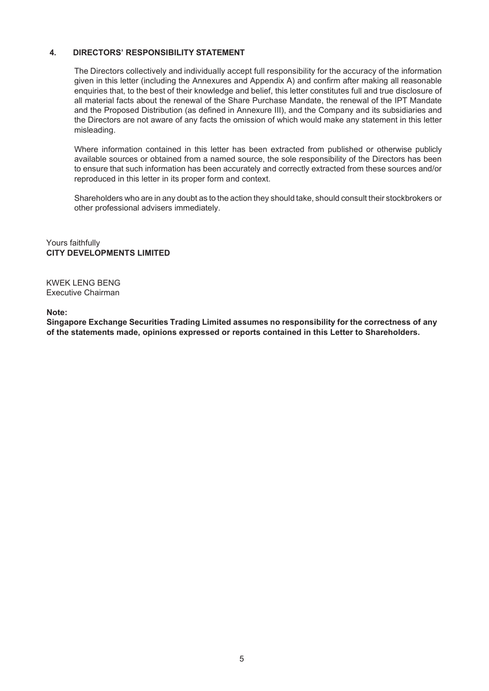## **4. DIRECTORS' RESPONSIBILITY STATEMENT**

The Directors collectively and individually accept full responsibility for the accuracy of the information given in this letter (including the Annexures and Appendix A) and confirm after making all reasonable enquiries that, to the best of their knowledge and belief, this letter constitutes full and true disclosure of all material facts about the renewal of the Share Purchase Mandate, the renewal of the IPT Mandate and the Proposed Distribution (as defined in Annexure III), and the Company and its subsidiaries and the Directors are not aware of any facts the omission of which would make any statement in this letter misleading.

Where information contained in this letter has been extracted from published or otherwise publicly available sources or obtained from a named source, the sole responsibility of the Directors has been to ensure that such information has been accurately and correctly extracted from these sources and/or reproduced in this letter in its proper form and context.

Shareholders who are in any doubt as to the action they should take, should consult their stockbrokers or other professional advisers immediately.

Yours faithfully **CITY DEVELOPMENTS LIMITED**

KWEK LENG BENG Executive Chairman

**Note:**

**Singapore Exchange Securities Trading Limited assumes no responsibility for the correctness of any of the statements made, opinions expressed or reports contained in this Letter to Shareholders.**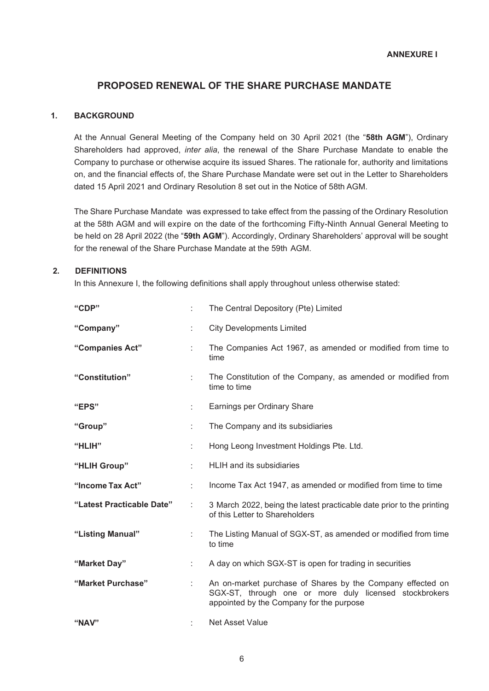# **PROPOSED RENEWAL OF THE SHARE PURCHASE MANDATE**

# <span id="page-8-2"></span><span id="page-8-1"></span><span id="page-8-0"></span>**1. BACKGROUND**

At the Annual General Meeting of the Company held on 30 April 2021 (the "**58th AGM**"), Ordinary Shareholders had approved, *inter alia*, the renewal of the Share Purchase Mandate to enable the Company to purchase or otherwise acquire its issued Shares. The rationale for, authority and limitations on, and the financial effects of, the Share Purchase Mandate were set out in the Letter to Shareholders dated 15 April 2021 and Ordinary Resolution 8 set out in the Notice of 58th AGM.

The Share Purchase Mandate was expressed to take effect from the passing of the Ordinary Resolution at the 58th AGM and will expire on the date of the forthcoming Fifty-Ninth Annual General Meeting to be held on 28 April 2022 (the "**59th AGM**"). Accordingly, Ordinary Shareholders' approval will be sought for the renewal of the Share Purchase Mandate at the 59th AGM.

# <span id="page-8-3"></span>**2. DEFINITIONS**

In this Annexure I, the following definitions shall apply throughout unless otherwise stated:

| "CDP"                     |    | The Central Depository (Pte) Limited                                                                                                                             |
|---------------------------|----|------------------------------------------------------------------------------------------------------------------------------------------------------------------|
| "Company"                 | ÷  | <b>City Developments Limited</b>                                                                                                                                 |
| "Companies Act"           | ÷  | The Companies Act 1967, as amended or modified from time to<br>time                                                                                              |
| "Constitution"            | ÷. | The Constitution of the Company, as amended or modified from<br>time to time                                                                                     |
| "EPS"                     | ÷  | Earnings per Ordinary Share                                                                                                                                      |
| "Group"                   | ÷  | The Company and its subsidiaries                                                                                                                                 |
| "HLIH"                    | t  | Hong Leong Investment Holdings Pte. Ltd.                                                                                                                         |
| "HLIH Group"              | ÷  | HLIH and its subsidiaries                                                                                                                                        |
| "Income Tax Act"          | ÷  | Income Tax Act 1947, as amended or modified from time to time                                                                                                    |
| "Latest Practicable Date" | ÷  | 3 March 2022, being the latest practicable date prior to the printing<br>of this Letter to Shareholders                                                          |
| "Listing Manual"          | ÷  | The Listing Manual of SGX-ST, as amended or modified from time<br>to time                                                                                        |
| "Market Day"              | ÷  | A day on which SGX-ST is open for trading in securities                                                                                                          |
| "Market Purchase"         | ÷  | An on-market purchase of Shares by the Company effected on<br>SGX-ST, through one or more duly licensed stockbrokers<br>appointed by the Company for the purpose |
| "NAV"                     |    | <b>Net Asset Value</b>                                                                                                                                           |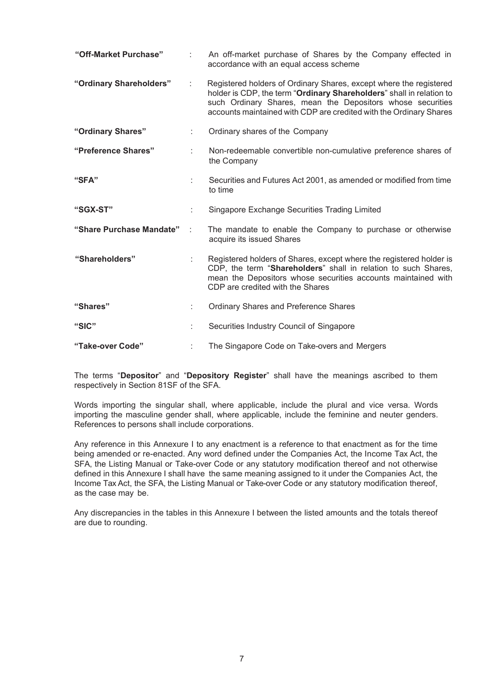| "Off-Market Purchase"    |    | An off-market purchase of Shares by the Company effected in<br>accordance with an equal access scheme                                                                                                                                                                          |
|--------------------------|----|--------------------------------------------------------------------------------------------------------------------------------------------------------------------------------------------------------------------------------------------------------------------------------|
| "Ordinary Shareholders"  | t. | Registered holders of Ordinary Shares, except where the registered<br>holder is CDP, the term "Ordinary Shareholders" shall in relation to<br>such Ordinary Shares, mean the Depositors whose securities<br>accounts maintained with CDP are credited with the Ordinary Shares |
| "Ordinary Shares"        |    | Ordinary shares of the Company                                                                                                                                                                                                                                                 |
| "Preference Shares"      |    | Non-redeemable convertible non-cumulative preference shares of<br>the Company                                                                                                                                                                                                  |
| "SFA"                    |    | Securities and Futures Act 2001, as amended or modified from time<br>to time                                                                                                                                                                                                   |
| "SGX-ST"                 |    | Singapore Exchange Securities Trading Limited                                                                                                                                                                                                                                  |
| "Share Purchase Mandate" |    | The mandate to enable the Company to purchase or otherwise<br>acquire its issued Shares                                                                                                                                                                                        |
| "Shareholders"           |    | Registered holders of Shares, except where the registered holder is<br>CDP, the term "Shareholders" shall in relation to such Shares,<br>mean the Depositors whose securities accounts maintained with<br>CDP are credited with the Shares                                     |
| "Shares"                 |    | <b>Ordinary Shares and Preference Shares</b>                                                                                                                                                                                                                                   |
| "SIC"                    |    | Securities Industry Council of Singapore                                                                                                                                                                                                                                       |
| "Take-over Code"         |    | The Singapore Code on Take-overs and Mergers                                                                                                                                                                                                                                   |

The terms "**Depositor**" and "**Depository Register**" shall have the meanings ascribed to them respectively in Section 81SF of the SFA.

Words importing the singular shall, where applicable, include the plural and vice versa. Words importing the masculine gender shall, where applicable, include the feminine and neuter genders. References to persons shall include corporations.

Any reference in this Annexure I to any enactment is a reference to that enactment as for the time being amended or re-enacted. Any word defined under the Companies Act, the Income Tax Act, the SFA, the Listing Manual or Take-over Code or any statutory modification thereof and not otherwise defined in this Annexure I shall have the same meaning assigned to it under the Companies Act, the Income Tax Act, the SFA, the Listing Manual or Take-over Code or any statutory modification thereof, as the case may be.

Any discrepancies in the tables in this Annexure I between the listed amounts and the totals thereof are due to rounding.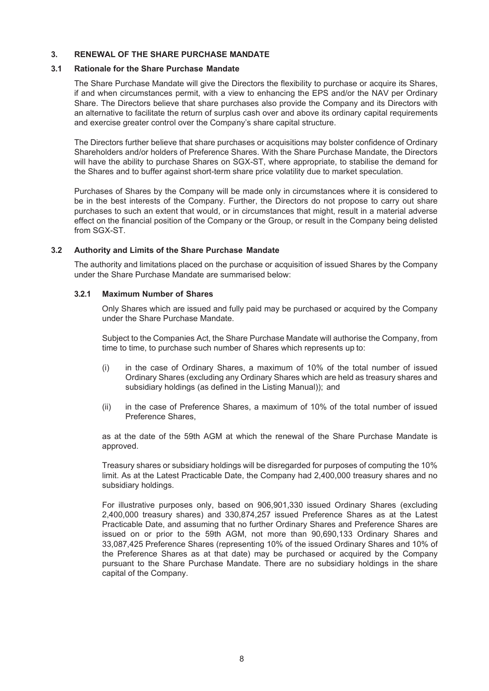### <span id="page-10-0"></span>**3. RENEWAL OF THE SHARE PURCHASE MANDATE**

#### **3.1 Rationale for the Share Purchase Mandate**

The Share Purchase Mandate will give the Directors the flexibility to purchase or acquire its Shares, if and when circumstances permit, with a view to enhancing the EPS and/or the NAV per Ordinary Share. The Directors believe that share purchases also provide the Company and its Directors with an alternative to facilitate the return of surplus cash over and above its ordinary capital requirements and exercise greater control over the Company's share capital structure.

The Directors further believe that share purchases or acquisitions may bolster confidence of Ordinary Shareholders and/or holders of Preference Shares. With the Share Purchase Mandate, the Directors will have the ability to purchase Shares on SGX-ST, where appropriate, to stabilise the demand for the Shares and to buffer against short-term share price volatility due to market speculation.

Purchases of Shares by the Company will be made only in circumstances where it is considered to be in the best interests of the Company. Further, the Directors do not propose to carry out share purchases to such an extent that would, or in circumstances that might, result in a material adverse effect on the financial position of the Company or the Group, or result in the Company being delisted from SGX-ST.

#### **3.2 Authority and Limits of the Share Purchase Mandate**

The authority and limitations placed on the purchase or acquisition of issued Shares by the Company under the Share Purchase Mandate are summarised below:

#### **3.2.1 Maximum Number of Shares**

Only Shares which are issued and fully paid may be purchased or acquired by the Company under the Share Purchase Mandate.

Subject to the Companies Act, the Share Purchase Mandate will authorise the Company, from time to time, to purchase such number of Shares which represents up to:

- (i) in the case of Ordinary Shares, a maximum of 10% of the total number of issued Ordinary Shares (excluding any Ordinary Shares which are held as treasury shares and subsidiary holdings (as defined in the Listing Manual)); and
- (ii) in the case of Preference Shares, a maximum of 10% of the total number of issued Preference Shares,

as at the date of the 59th AGM at which the renewal of the Share Purchase Mandate is approved.

Treasury shares or subsidiary holdings will be disregarded for purposes of computing the 10% limit. As at the Latest Practicable Date, the Company had 2,400,000 treasury shares and no subsidiary holdings.

For illustrative purposes only, based on 906,901,330 issued Ordinary Shares (excluding 2,400,000 treasury shares) and 330,874,257 issued Preference Shares as at the Latest Practicable Date, and assuming that no further Ordinary Shares and Preference Shares are issued on or prior to the 59th AGM, not more than 90,690,133 Ordinary Shares and 33,087,425 Preference Shares (representing 10% of the issued Ordinary Shares and 10% of the Preference Shares as at that date) may be purchased or acquired by the Company pursuant to the Share Purchase Mandate. There are no subsidiary holdings in the share capital of the Company.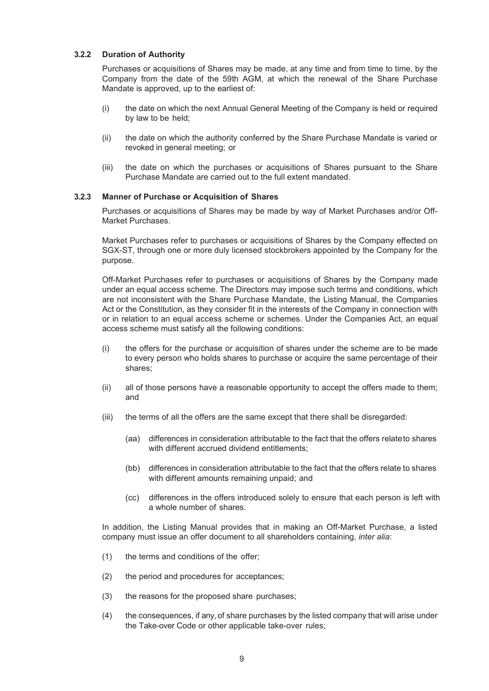#### **3.2.2 Duration of Authority**

Purchases or acquisitions of Shares may be made, at any time and from time to time, by the Company from the date of the 59th AGM, at which the renewal of the Share Purchase Mandate is approved, up to the earliest of:

- (i) the date on which the next Annual General Meeting of the Company is held or required by law to be held;
- (ii) the date on which the authority conferred by the Share Purchase Mandate is varied or revoked in general meeting; or
- (iii) the date on which the purchases or acquisitions of Shares pursuant to the Share Purchase Mandate are carried out to the full extent mandated.

#### **3.2.3 Manner of Purchase or Acquisition of Shares**

Purchases or acquisitions of Shares may be made by way of Market Purchases and/or Off-Market Purchases.

Market Purchases refer to purchases or acquisitions of Shares by the Company effected on SGX-ST, through one or more duly licensed stockbrokers appointed by the Company for the purpose.

Off-Market Purchases refer to purchases or acquisitions of Shares by the Company made under an equal access scheme. The Directors may impose such terms and conditions, which are not inconsistent with the Share Purchase Mandate, the Listing Manual, the Companies Act or the Constitution, as they consider fit in the interests of the Company in connection with or in relation to an equal access scheme or schemes. Under the Companies Act, an equal access scheme must satisfy all the following conditions:

- (i) the offers for the purchase or acquisition of shares under the scheme are to be made to every person who holds shares to purchase or acquire the same percentage of their shares;
- (ii) all of those persons have a reasonable opportunity to accept the offers made to them; and
- (iii) the terms of all the offers are the same except that there shall be disregarded:
	- (aa) differences in consideration attributable to the fact that the offers relateto shares with different accrued dividend entitlements:
	- (bb) differences in consideration attributable to the fact that the offers relate to shares with different amounts remaining unpaid; and
	- (cc) differences in the offers introduced solely to ensure that each person is left with a whole number of shares.

In addition, the Listing Manual provides that in making an Off-Market Purchase, a listed company must issue an offer document to all shareholders containing, *inter alia*:

- (1) the terms and conditions of the offer;
- (2) the period and procedures for acceptances;
- (3) the reasons for the proposed share purchases;
- (4) the consequences, if any, of share purchases by the listed company that will arise under the Take-over Code or other applicable take-over rules;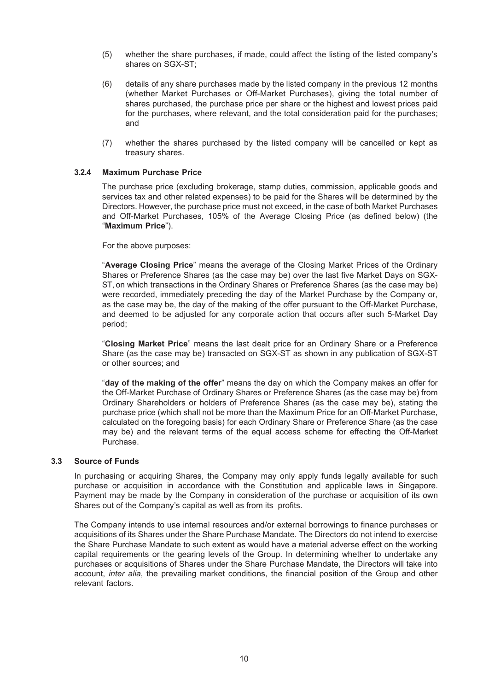- (5) whether the share purchases, if made, could affect the listing of the listed company's shares on SGX-ST;
- (6) details of any share purchases made by the listed company in the previous 12 months (whether Market Purchases or Off-Market Purchases), giving the total number of shares purchased, the purchase price per share or the highest and lowest prices paid for the purchases, where relevant, and the total consideration paid for the purchases; and
- (7) whether the shares purchased by the listed company will be cancelled or kept as treasury shares.

#### **3.2.4 Maximum Purchase Price**

The purchase price (excluding brokerage, stamp duties, commission, applicable goods and services tax and other related expenses) to be paid for the Shares will be determined by the Directors. However, the purchase price must not exceed, in the case of both Market Purchases and Off-Market Purchases, 105% of the Average Closing Price (as defined below) (the "**Maximum Price**").

For the above purposes:

"**Average Closing Price**" means the average of the Closing Market Prices of the Ordinary Shares or Preference Shares (as the case may be) over the last five Market Days on SGX-ST, on which transactions in the Ordinary Shares or Preference Shares (as the case may be) were recorded, immediately preceding the day of the Market Purchase by the Company or, as the case may be, the day of the making of the offer pursuant to the Off-Market Purchase, and deemed to be adjusted for any corporate action that occurs after such 5-Market Day period;

"**Closing Market Price**" means the last dealt price for an Ordinary Share or a Preference Share (as the case may be) transacted on SGX-ST as shown in any publication of SGX-ST or other sources; and

"**day of the making of the offer**" means the day on which the Company makes an offer for the Off-Market Purchase of Ordinary Shares or Preference Shares (as the case may be) from Ordinary Shareholders or holders of Preference Shares (as the case may be), stating the purchase price (which shall not be more than the Maximum Price for an Off-Market Purchase, calculated on the foregoing basis) for each Ordinary Share or Preference Share (as the case may be) and the relevant terms of the equal access scheme for effecting the Off-Market Purchase.

#### **3.3 Source of Funds**

In purchasing or acquiring Shares, the Company may only apply funds legally available for such purchase or acquisition in accordance with the Constitution and applicable laws in Singapore. Payment may be made by the Company in consideration of the purchase or acquisition of its own Shares out of the Company's capital as well as from its profits.

The Company intends to use internal resources and/or external borrowings to finance purchases or acquisitions of its Shares under the Share Purchase Mandate. The Directors do not intend to exercise the Share Purchase Mandate to such extent as would have a material adverse effect on the working capital requirements or the gearing levels of the Group. In determining whether to undertake any purchases or acquisitions of Shares under the Share Purchase Mandate, the Directors will take into account, *inter alia*, the prevailing market conditions, the financial position of the Group and other relevant factors.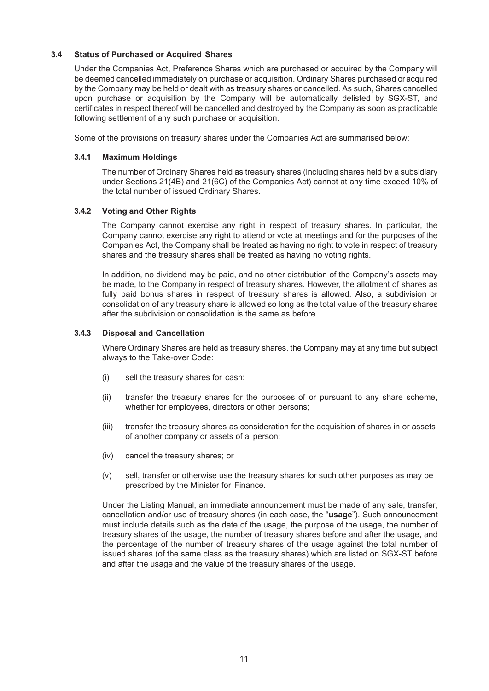## **3.4 Status of Purchased or Acquired Shares**

Under the Companies Act, Preference Shares which are purchased or acquired by the Company will be deemed cancelled immediately on purchase or acquisition. Ordinary Shares purchased or acquired by the Company may be held or dealt with as treasury shares or cancelled. As such, Shares cancelled upon purchase or acquisition by the Company will be automatically delisted by SGX-ST, and certificates in respect thereof will be cancelled and destroyed by the Company as soon as practicable following settlement of any such purchase or acquisition.

Some of the provisions on treasury shares under the Companies Act are summarised below:

#### **3.4.1 Maximum Holdings**

The number of Ordinary Shares held as treasury shares (including shares held by a subsidiary under Sections 21(4B) and 21(6C) of the Companies Act) cannot at any time exceed 10% of the total number of issued Ordinary Shares.

## **3.4.2 Voting and Other Rights**

The Company cannot exercise any right in respect of treasury shares. In particular, the Company cannot exercise any right to attend or vote at meetings and for the purposes of the Companies Act, the Company shall be treated as having no right to vote in respect of treasury shares and the treasury shares shall be treated as having no voting rights.

In addition, no dividend may be paid, and no other distribution of the Company's assets may be made, to the Company in respect of treasury shares. However, the allotment of shares as fully paid bonus shares in respect of treasury shares is allowed. Also, a subdivision or consolidation of any treasury share is allowed so long as the total value of the treasury shares after the subdivision or consolidation is the same as before.

#### **3.4.3 Disposal and Cancellation**

Where Ordinary Shares are held as treasury shares, the Company may at any time but subject always to the Take-over Code:

- (i) sell the treasury shares for cash;
- (ii) transfer the treasury shares for the purposes of or pursuant to any share scheme, whether for employees, directors or other persons;
- (iii) transfer the treasury shares as consideration for the acquisition of shares in or assets of another company or assets of a person;
- (iv) cancel the treasury shares; or
- (v) sell, transfer or otherwise use the treasury shares for such other purposes as may be prescribed by the Minister for Finance.

Under the Listing Manual, an immediate announcement must be made of any sale, transfer, cancellation and/or use of treasury shares (in each case, the "**usage**"). Such announcement must include details such as the date of the usage, the purpose of the usage, the number of treasury shares of the usage, the number of treasury shares before and after the usage, and the percentage of the number of treasury shares of the usage against the total number of issued shares (of the same class as the treasury shares) which are listed on SGX-ST before and after the usage and the value of the treasury shares of the usage.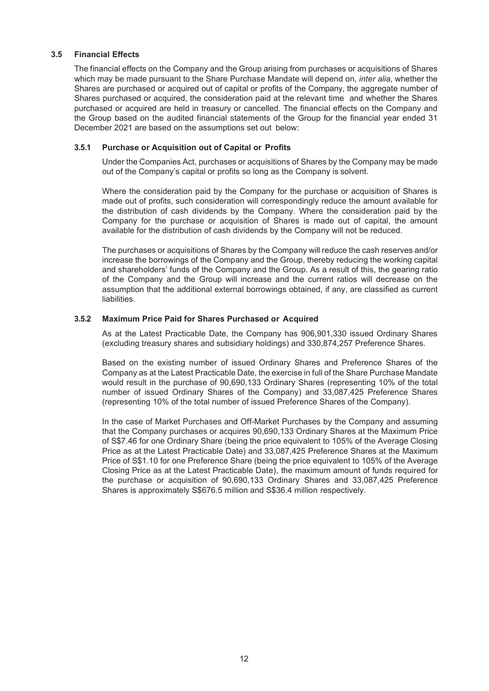### **3.5 Financial Effects**

The financial effects on the Company and the Group arising from purchases or acquisitions of Shares which may be made pursuant to the Share Purchase Mandate will depend on, *inter alia*, whether the Shares are purchased or acquired out of capital or profits of the Company, the aggregate number of Shares purchased or acquired, the consideration paid at the relevant time and whether the Shares purchased or acquired are held in treasury or cancelled. The financial effects on the Company and the Group based on the audited financial statements of the Group for the financial year ended 31 December 2021 are based on the assumptions set out below:

#### **3.5.1 Purchase or Acquisition out of Capital or Profits**

Under the Companies Act, purchases or acquisitions of Shares by the Company may be made out of the Company's capital or profits so long as the Company is solvent.

Where the consideration paid by the Company for the purchase or acquisition of Shares is made out of profits, such consideration will correspondingly reduce the amount available for the distribution of cash dividends by the Company. Where the consideration paid by the Company for the purchase or acquisition of Shares is made out of capital, the amount available for the distribution of cash dividends by the Company will not be reduced.

The purchases or acquisitions of Shares by the Company will reduce the cash reserves and/or increase the borrowings of the Company and the Group, thereby reducing the working capital and shareholders' funds of the Company and the Group. As a result of this, the gearing ratio of the Company and the Group will increase and the current ratios will decrease on the assumption that the additional external borrowings obtained, if any, are classified as current liabilities.

## **3.5.2 Maximum Price Paid for Shares Purchased or Acquired**

As at the Latest Practicable Date, the Company has 906,901,330 issued Ordinary Shares (excluding treasury shares and subsidiary holdings) and 330,874,257 Preference Shares.

Based on the existing number of issued Ordinary Shares and Preference Shares of the Company as at the Latest Practicable Date, the exercise in full of the Share Purchase Mandate would result in the purchase of 90,690,133 Ordinary Shares (representing 10% of the total number of issued Ordinary Shares of the Company) and 33,087,425 Preference Shares (representing 10% of the total number of issued Preference Shares of the Company).

In the case of Market Purchases and Off-Market Purchases by the Company and assuming that the Company purchases or acquires 90,690,133 Ordinary Shares at the Maximum Price of S\$7.46 for one Ordinary Share (being the price equivalent to 105% of the Average Closing Price as at the Latest Practicable Date) and 33,087,425 Preference Shares at the Maximum Price of S\$1.10 for one Preference Share (being the price equivalent to 105% of the Average Closing Price as at the Latest Practicable Date), the maximum amount of funds required for the purchase or acquisition of 90,690,133 Ordinary Shares and 33,087,425 Preference Shares is approximately S\$676.5 million and S\$36.4 million respectively.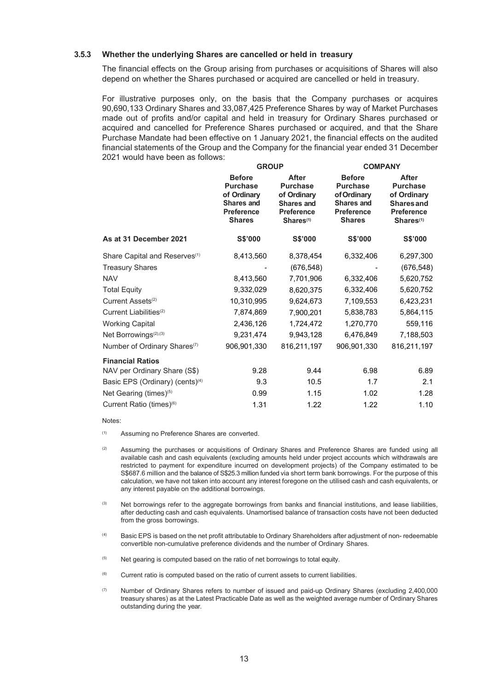#### **3.5.3 Whether the underlying Shares are cancelled or held in treasury**

The financial effects on the Group arising from purchases or acquisitions of Shares will also depend on whether the Shares purchased or acquired are cancelled or held in treasury.

For illustrative purposes only, on the basis that the Company purchases or acquires 90,690,133 Ordinary Shares and 33,087,425 Preference Shares by way of Market Purchases made out of profits and/or capital and held in treasury for Ordinary Shares purchased or acquired and cancelled for Preference Shares purchased or acquired, and that the Share Purchase Mandate had been effective on 1 January 2021, the financial effects on the audited financial statements of the Group and the Company for the financial year ended 31 December 2021 would have been as follows:

|                                             | <b>GROUP</b>                                                                                                                                                                                                      |             | <b>COMPANY</b>                                                                                                                                                                                                                  |             |  |
|---------------------------------------------|-------------------------------------------------------------------------------------------------------------------------------------------------------------------------------------------------------------------|-------------|---------------------------------------------------------------------------------------------------------------------------------------------------------------------------------------------------------------------------------|-------------|--|
|                                             | <b>Before</b><br>After<br><b>Purchase</b><br><b>Purchase</b><br>of Ordinary<br>of Ordinary<br><b>Shares and</b><br><b>Shares and</b><br><b>Preference</b><br>Preference<br><b>Shares</b><br>Shares <sup>(1)</sup> |             | <b>Before</b><br><b>After</b><br><b>Purchase</b><br><b>Purchase</b><br>of Ordinary<br>of Ordinary<br><b>Shares and</b><br><b>Shares and</b><br><b>Preference</b><br><b>Preference</b><br><b>Shares</b><br>Shares <sup>(1)</sup> |             |  |
| As at 31 December 2021                      | S\$'000                                                                                                                                                                                                           | S\$'000     | S\$'000                                                                                                                                                                                                                         | S\$'000     |  |
| Share Capital and Reserves <sup>(1)</sup>   | 8,413,560                                                                                                                                                                                                         | 8,378,454   | 6,332,406                                                                                                                                                                                                                       | 6,297,300   |  |
| <b>Treasury Shares</b>                      |                                                                                                                                                                                                                   | (676, 548)  |                                                                                                                                                                                                                                 | (676, 548)  |  |
| <b>NAV</b>                                  | 8,413,560                                                                                                                                                                                                         | 7,701,906   | 6,332,406                                                                                                                                                                                                                       | 5,620,752   |  |
| <b>Total Equity</b>                         | 9,332,029                                                                                                                                                                                                         | 8,620,375   | 6,332,406                                                                                                                                                                                                                       | 5,620,752   |  |
| Current Assets <sup>(2)</sup>               | 10,310,995                                                                                                                                                                                                        | 9,624,673   | 7,109,553                                                                                                                                                                                                                       | 6,423,231   |  |
| Current Liabilities <sup>(2)</sup>          | 7,874,869                                                                                                                                                                                                         | 7,900,201   | 5,838,783                                                                                                                                                                                                                       | 5,864,115   |  |
| <b>Working Capital</b>                      | 2,436,126                                                                                                                                                                                                         | 1,724,472   | 1,270,770                                                                                                                                                                                                                       | 559,116     |  |
| Net Borrowings <sup>(2),(3)</sup>           | 9,231,474                                                                                                                                                                                                         | 9,943,128   | 6,476,849                                                                                                                                                                                                                       | 7,188,503   |  |
| Number of Ordinary Shares <sup>(7)</sup>    | 906,901,330                                                                                                                                                                                                       | 816,211,197 | 906,901,330                                                                                                                                                                                                                     | 816,211,197 |  |
| <b>Financial Ratios</b>                     |                                                                                                                                                                                                                   |             |                                                                                                                                                                                                                                 |             |  |
| NAV per Ordinary Share (S\$)                | 9.28                                                                                                                                                                                                              | 9.44        | 6.98                                                                                                                                                                                                                            | 6.89        |  |
| Basic EPS (Ordinary) (cents) <sup>(4)</sup> | 9.3                                                                                                                                                                                                               | 10.5        | 1.7                                                                                                                                                                                                                             | 2.1         |  |
| Net Gearing (times) <sup>(5)</sup>          | 0.99                                                                                                                                                                                                              | 1.15        | 1.02                                                                                                                                                                                                                            | 1.28        |  |
| Current Ratio (times) <sup>(6)</sup>        | 1.31                                                                                                                                                                                                              | 1.22        | 1.22                                                                                                                                                                                                                            | 1.10        |  |

Notes:

- (1) Assuming no Preference Shares are converted.
- (2) Assuming the purchases or acquisitions of Ordinary Shares and Preference Shares are funded using all available cash and cash equivalents (excluding amounts held under project accounts which withdrawals are restricted to payment for expenditure incurred on development projects) of the Company estimated to be S\$687.6 million and the balance of S\$25.3 million funded via short term bank borrowings. For the purpose of this calculation, we have not taken into account any interest foregone on the utilised cash and cash equivalents, or any interest payable on the additional borrowings.
- (3) Net borrowings refer to the aggregate borrowings from banks and financial institutions, and lease liabilities, after deducting cash and cash equivalents. Unamortised balance of transaction costs have not been deducted from the gross borrowings.
- (4) Basic EPS is based on the net profit attributable to Ordinary Shareholders after adjustment of non- redeemable convertible non-cumulative preference dividends and the number of Ordinary Shares.
- <sup>(5)</sup> Net gearing is computed based on the ratio of net borrowings to total equity.
- $(6)$  Current ratio is computed based on the ratio of current assets to current liabilities.
- (7) Number of Ordinary Shares refers to number of issued and paid-up Ordinary Shares (excluding 2,400,000 treasury shares) as at the Latest Practicable Date as well as the weighted average number of Ordinary Shares outstanding during the year.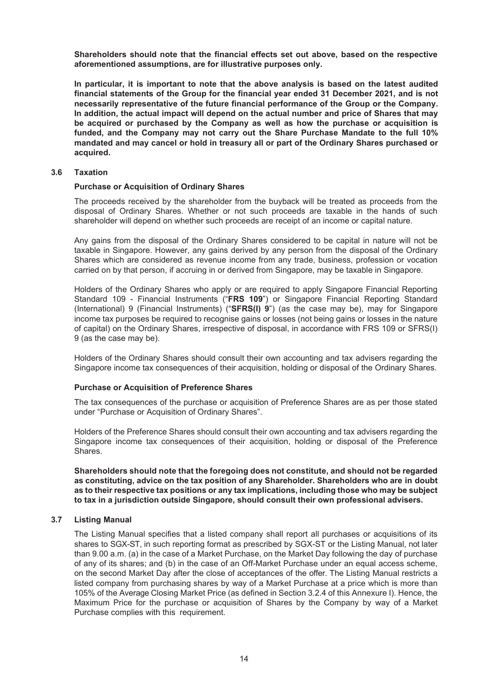**Shareholders should note that the financial effects set out above, based on the respective aforementioned assumptions, are for illustrative purposes only.**

**In particular, it is important to note that the above analysis is based on the latest audited financial statements of the Group for the financial year ended 31 December 2021, and is not necessarily representative of the future financial performance of the Group or the Company. In addition, the actual impact will depend on the actual number and price of Shares that may be acquired or purchased by the Company as well as how the purchase or acquisition is funded, and the Company may not carry out the Share Purchase Mandate to the full 10% mandated and may cancel or hold in treasury all or part of the Ordinary Shares purchased or acquired.**

#### **3.6 Taxation**

#### **Purchase or Acquisition of Ordinary Shares**

The proceeds received by the shareholder from the buyback will be treated as proceeds from the disposal of Ordinary Shares. Whether or not such proceeds are taxable in the hands of such shareholder will depend on whether such proceeds are receipt of an income or capital nature.

Any gains from the disposal of the Ordinary Shares considered to be capital in nature will not be taxable in Singapore. However, any gains derived by any person from the disposal of the Ordinary Shares which are considered as revenue income from any trade, business, profession or vocation carried on by that person, if accruing in or derived from Singapore, may be taxable in Singapore.

Holders of the Ordinary Shares who apply or are required to apply Singapore Financial Reporting Standard 109 - Financial Instruments ("**FRS 109**") or Singapore Financial Reporting Standard (International) 9 (Financial Instruments) ("**SFRS(I) 9**") (as the case may be), may for Singapore income tax purposes be required to recognise gains or losses (not being gains or losses in the nature of capital) on the Ordinary Shares, irrespective of disposal, in accordance with FRS 109 or SFRS(I) 9 (as the case may be).

Holders of the Ordinary Shares should consult their own accounting and tax advisers regarding the Singapore income tax consequences of their acquisition, holding or disposal of the Ordinary Shares.

#### **Purchase or Acquisition of Preference Shares**

The tax consequences of the purchase or acquisition of Preference Shares are as per those stated under "Purchase or Acquisition of Ordinary Shares".

Holders of the Preference Shares should consult their own accounting and tax advisers regarding the Singapore income tax consequences of their acquisition, holding or disposal of the Preference Shares.

**Shareholders should note that the foregoing does not constitute, and should not be regarded as constituting, advice on the tax position of any Shareholder. Shareholders who are in doubt as to their respective tax positions or any tax implications, including those who may be subject to tax in a jurisdiction outside Singapore, should consult their own professional advisers.**

#### **3.7 Listing Manual**

The Listing Manual specifies that a listed company shall report all purchases or acquisitions of its shares to SGX-ST, in such reporting format as prescribed by SGX-ST or the Listing Manual, not later than 9.00 a.m. (a) in the case of a Market Purchase, on the Market Day following the day of purchase of any of its shares; and (b) in the case of an Off-Market Purchase under an equal access scheme, on the second Market Day after the close of acceptances of the offer. The Listing Manual restricts a listed company from purchasing shares by way of a Market Purchase at a price which is more than 105% of the Average Closing Market Price (as defined in Section 3.2.4 of this Annexure I). Hence, the Maximum Price for the purchase or acquisition of Shares by the Company by way of a Market Purchase complies with this requirement.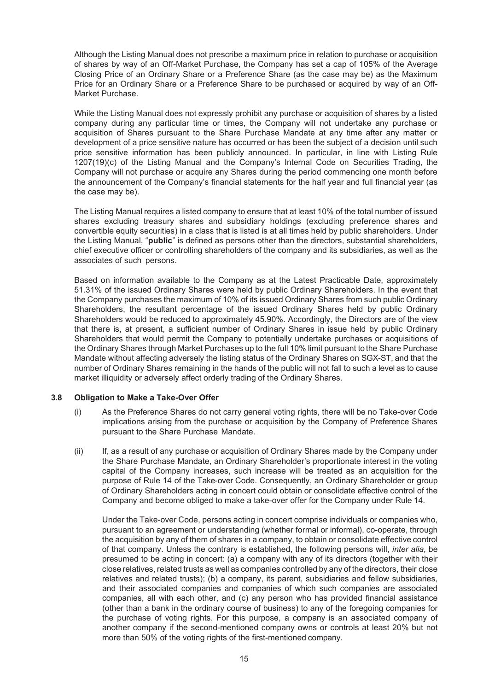Although the Listing Manual does not prescribe a maximum price in relation to purchase or acquisition of shares by way of an Off-Market Purchase, the Company has set a cap of 105% of the Average Closing Price of an Ordinary Share or a Preference Share (as the case may be) as the Maximum Price for an Ordinary Share or a Preference Share to be purchased or acquired by way of an Off-Market Purchase.

While the Listing Manual does not expressly prohibit any purchase or acquisition of shares by a listed company during any particular time or times, the Company will not undertake any purchase or acquisition of Shares pursuant to the Share Purchase Mandate at any time after any matter or development of a price sensitive nature has occurred or has been the subject of a decision until such price sensitive information has been publicly announced. In particular, in line with Listing Rule 1207(19)(c) of the Listing Manual and the Company's Internal Code on Securities Trading, the Company will not purchase or acquire any Shares during the period commencing one month before the announcement of the Company's financial statements for the half year and full financial year (as the case may be).

The Listing Manual requires a listed company to ensure that at least 10% of the total number of issued shares excluding treasury shares and subsidiary holdings (excluding preference shares and convertible equity securities) in a class that is listed is at all times held by public shareholders. Under the Listing Manual, "**public**" is defined as persons other than the directors, substantial shareholders, chief executive officer or controlling shareholders of the company and its subsidiaries, as well as the associates of such persons.

Based on information available to the Company as at the Latest Practicable Date, approximately 51.31% of the issued Ordinary Shares were held by public Ordinary Shareholders. In the event that the Company purchases the maximum of 10% of its issued Ordinary Shares from such public Ordinary Shareholders, the resultant percentage of the issued Ordinary Shares held by public Ordinary Shareholders would be reduced to approximately 45.90%. Accordingly, the Directors are of the view that there is, at present, a sufficient number of Ordinary Shares in issue held by public Ordinary Shareholders that would permit the Company to potentially undertake purchases or acquisitions of the Ordinary Shares through Market Purchases up to the full 10% limit pursuant to the Share Purchase Mandate without affecting adversely the listing status of the Ordinary Shares on SGX-ST, and that the number of Ordinary Shares remaining in the hands of the public will not fall to such a level as to cause market illiquidity or adversely affect orderly trading of the Ordinary Shares.

## **3.8 Obligation to Make a Take-Over Offer**

- (i) As the Preference Shares do not carry general voting rights, there will be no Take-over Code implications arising from the purchase or acquisition by the Company of Preference Shares pursuant to the Share Purchase Mandate.
- (ii) If, as a result of any purchase or acquisition of Ordinary Shares made by the Company under the Share Purchase Mandate, an Ordinary Shareholder's proportionate interest in the voting capital of the Company increases, such increase will be treated as an acquisition for the purpose of Rule 14 of the Take-over Code. Consequently, an Ordinary Shareholder or group of Ordinary Shareholders acting in concert could obtain or consolidate effective control of the Company and become obliged to make a take-over offer for the Company under Rule 14.

Under the Take-over Code, persons acting in concert comprise individuals or companies who, pursuant to an agreement or understanding (whether formal or informal), co-operate, through the acquisition by any of them of shares in a company, to obtain or consolidate effective control of that company. Unless the contrary is established, the following persons will, *inter alia*, be presumed to be acting in concert: (a) a company with any of its directors (together with their close relatives, related trusts as well as companies controlled by any of the directors, their close relatives and related trusts); (b) a company, its parent, subsidiaries and fellow subsidiaries, and their associated companies and companies of which such companies are associated companies, all with each other, and (c) any person who has provided financial assistance (other than a bank in the ordinary course of business) to any of the foregoing companies for the purchase of voting rights. For this purpose, a company is an associated company of another company if the second-mentioned company owns or controls at least 20% but not more than 50% of the voting rights of the first-mentioned company.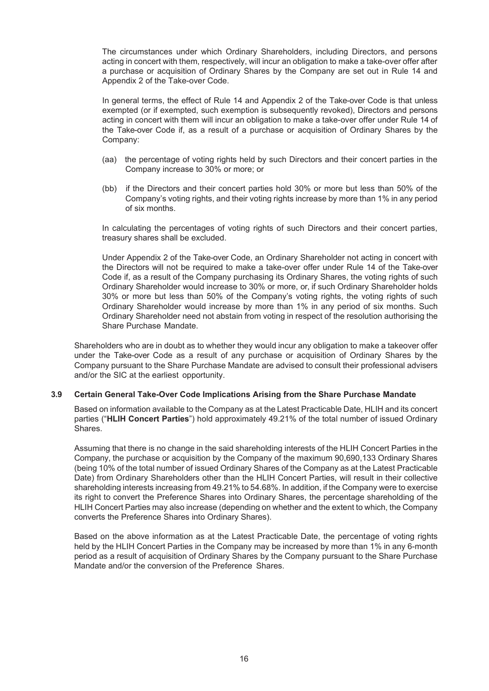The circumstances under which Ordinary Shareholders, including Directors, and persons acting in concert with them, respectively, will incur an obligation to make a take-over offer after a purchase or acquisition of Ordinary Shares by the Company are set out in Rule 14 and Appendix 2 of the Take-over Code.

In general terms, the effect of Rule 14 and Appendix 2 of the Take-over Code is that unless exempted (or if exempted, such exemption is subsequently revoked), Directors and persons acting in concert with them will incur an obligation to make a take-over offer under Rule 14 of the Take-over Code if, as a result of a purchase or acquisition of Ordinary Shares by the Company:

- (aa) the percentage of voting rights held by such Directors and their concert parties in the Company increase to 30% or more; or
- (bb) if the Directors and their concert parties hold 30% or more but less than 50% of the Company's voting rights, and their voting rights increase by more than 1% in any period of six months.

In calculating the percentages of voting rights of such Directors and their concert parties, treasury shares shall be excluded.

Under Appendix 2 of the Take-over Code, an Ordinary Shareholder not acting in concert with the Directors will not be required to make a take-over offer under Rule 14 of the Take-over Code if, as a result of the Company purchasing its Ordinary Shares, the voting rights of such Ordinary Shareholder would increase to 30% or more, or, if such Ordinary Shareholder holds 30% or more but less than 50% of the Company's voting rights, the voting rights of such Ordinary Shareholder would increase by more than 1% in any period of six months. Such Ordinary Shareholder need not abstain from voting in respect of the resolution authorising the Share Purchase Mandate.

Shareholders who are in doubt as to whether they would incur any obligation to make a takeover offer under the Take-over Code as a result of any purchase or acquisition of Ordinary Shares by the Company pursuant to the Share Purchase Mandate are advised to consult their professional advisers and/or the SIC at the earliest opportunity.

## **3.9 Certain General Take-Over Code Implications Arising from the Share Purchase Mandate**

Based on information available to the Company as at the Latest Practicable Date, HLIH and its concert parties ("**HLIH Concert Parties**") hold approximately 49.21% of the total number of issued Ordinary Shares.

Assuming that there is no change in the said shareholding interests of the HLIH Concert Parties in the Company, the purchase or acquisition by the Company of the maximum 90,690,133 Ordinary Shares (being 10% of the total number of issued Ordinary Shares of the Company as at the Latest Practicable Date) from Ordinary Shareholders other than the HLIH Concert Parties, will result in their collective shareholding interests increasing from 49.21% to 54.68%. In addition, if the Company were to exercise its right to convert the Preference Shares into Ordinary Shares, the percentage shareholding of the HLIH Concert Parties may also increase (depending on whether and the extent to which, the Company converts the Preference Shares into Ordinary Shares).

Based on the above information as at the Latest Practicable Date, the percentage of voting rights held by the HLIH Concert Parties in the Company may be increased by more than 1% in any 6-month period as a result of acquisition of Ordinary Shares by the Company pursuant to the Share Purchase Mandate and/or the conversion of the Preference Shares.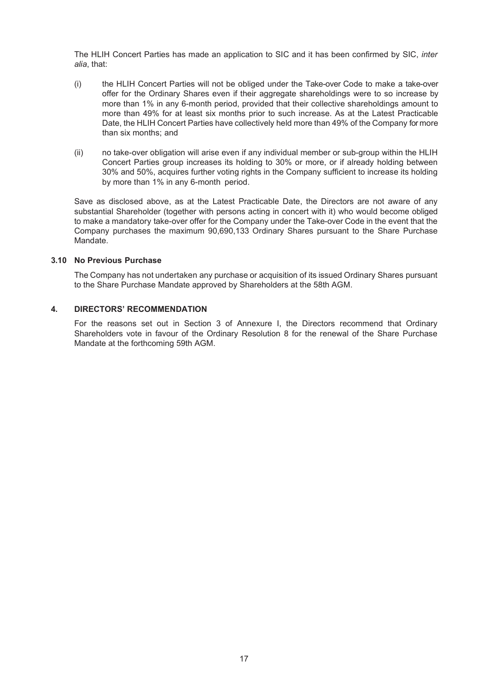The HLIH Concert Parties has made an application to SIC and it has been confirmed by SIC, *inter alia*, that:

- (i) the HLIH Concert Parties will not be obliged under the Take-over Code to make a take-over offer for the Ordinary Shares even if their aggregate shareholdings were to so increase by more than 1% in any 6-month period, provided that their collective shareholdings amount to more than 49% for at least six months prior to such increase. As at the Latest Practicable Date, the HLIH Concert Parties have collectively held more than 49% of the Company for more than six months; and
- (ii) no take-over obligation will arise even if any individual member or sub-group within the HLIH Concert Parties group increases its holding to 30% or more, or if already holding between 30% and 50%, acquires further voting rights in the Company sufficient to increase its holding by more than 1% in any 6-month period.

Save as disclosed above, as at the Latest Practicable Date, the Directors are not aware of any substantial Shareholder (together with persons acting in concert with it) who would become obliged to make a mandatory take-over offer for the Company under the Take-over Code in the event that the Company purchases the maximum 90,690,133 Ordinary Shares pursuant to the Share Purchase Mandate.

#### **3.10 No Previous Purchase**

The Company has not undertaken any purchase or acquisition of its issued Ordinary Shares pursuant to the Share Purchase Mandate approved by Shareholders at the 58th AGM.

#### <span id="page-19-0"></span>**4. DIRECTORS' RECOMMENDATION**

For the reasons set out in Section 3 of Annexure I, the Directors recommend that Ordinary Shareholders vote in favour of the Ordinary Resolution 8 for the renewal of the Share Purchase Mandate at the forthcoming 59th AGM.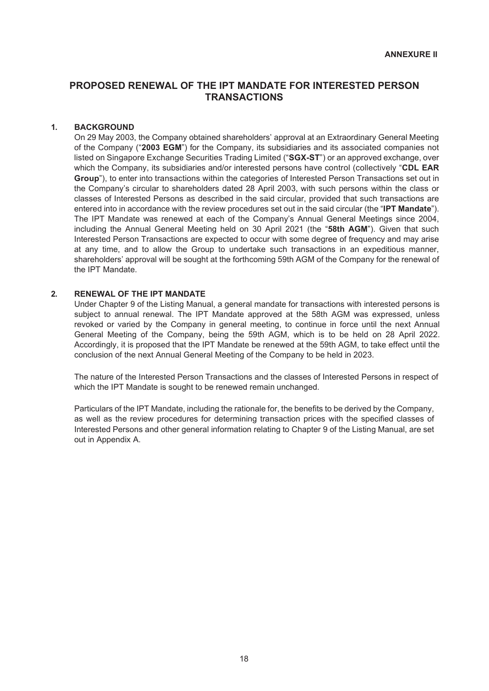# <span id="page-20-1"></span><span id="page-20-0"></span>**PROPOSED RENEWAL OF THE IPT MANDATE FOR INTERESTED PERSON TRANSACTIONS**

#### <span id="page-20-2"></span>**1. BACKGROUND**

On 29 May 2003, the Company obtained shareholders' approval at an Extraordinary General Meeting of the Company ("**2003 EGM**") for the Company, its subsidiaries and its associated companies not listed on Singapore Exchange Securities Trading Limited ("**SGX-ST**") or an approved exchange, over which the Company, its subsidiaries and/or interested persons have control (collectively "**CDL EAR Group**"), to enter into transactions within the categories of Interested Person Transactions set out in the Company's circular to shareholders dated 28 April 2003, with such persons within the class or classes of Interested Persons as described in the said circular, provided that such transactions are entered into in accordance with the review procedures set out in the said circular (the "**IPT Mandate**"). The IPT Mandate was renewed at each of the Company's Annual General Meetings since 2004, including the Annual General Meeting held on 30 April 2021 (the "**58th AGM**"). Given that such Interested Person Transactions are expected to occur with some degree of frequency and may arise at any time, and to allow the Group to undertake such transactions in an expeditious manner, shareholders' approval will be sought at the forthcoming 59th AGM of the Company for the renewal of the IPT Mandate.

#### <span id="page-20-3"></span>**2. RENEWAL OF THE IPT MANDATE**

Under Chapter 9 of the Listing Manual, a general mandate for transactions with interested persons is subject to annual renewal. The IPT Mandate approved at the 58th AGM was expressed, unless revoked or varied by the Company in general meeting, to continue in force until the next Annual General Meeting of the Company, being the 59th AGM, which is to be held on 28 April 2022. Accordingly, it is proposed that the IPT Mandate be renewed at the 59th AGM, to take effect until the conclusion of the next Annual General Meeting of the Company to be held in 2023.

The nature of the Interested Person Transactions and the classes of Interested Persons in respect of which the IPT Mandate is sought to be renewed remain unchanged.

Particulars of the IPT Mandate, including the rationale for, the benefits to be derived by the Company, as well as the review procedures for determining transaction prices with the specified classes of Interested Persons and other general information relating to Chapter 9 of the Listing Manual, are set out in Appendix A.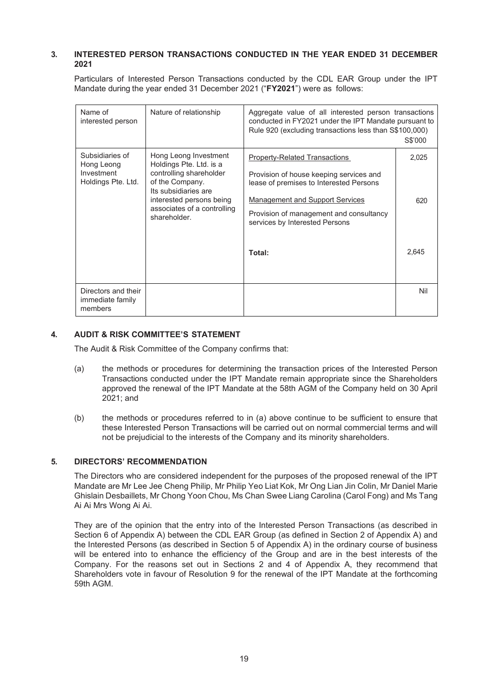### <span id="page-21-0"></span>**3. INTERESTED PERSON TRANSACTIONS CONDUCTED IN THE YEAR ENDED 31 DECEMBER 2021**

Particulars of Interested Person Transactions conducted by the CDL EAR Group under the IPT Mandate during the year ended 31 December 2021 ("**FY2021**") were as follows:

| Name of<br>interested person                                      | Nature of relationship                                                                                                                                                                            | Aggregate value of all interested person transactions<br>conducted in FY2021 under the IPT Mandate pursuant to<br>Rule 920 (excluding transactions less than S\$100,000)                                                                                    | S\$'000               |
|-------------------------------------------------------------------|---------------------------------------------------------------------------------------------------------------------------------------------------------------------------------------------------|-------------------------------------------------------------------------------------------------------------------------------------------------------------------------------------------------------------------------------------------------------------|-----------------------|
| Subsidiaries of<br>Hong Leong<br>Investment<br>Holdings Pte. Ltd. | Hong Leong Investment<br>Holdings Pte. Ltd. is a<br>controlling shareholder<br>of the Company.<br>Its subsidiaries are<br>interested persons being<br>associates of a controlling<br>shareholder. | <b>Property-Related Transactions</b><br>Provision of house keeping services and<br>lease of premises to Interested Persons<br><b>Management and Support Services</b><br>Provision of management and consultancy<br>services by Interested Persons<br>Total: | 2,025<br>620<br>2,645 |
| Directors and their<br>immediate family<br>members                |                                                                                                                                                                                                   |                                                                                                                                                                                                                                                             | Nil                   |

## <span id="page-21-1"></span>**4. AUDIT & RISK COMMITTEE'S STATEMENT**

The Audit & Risk Committee of the Company confirms that:

- (a) the methods or procedures for determining the transaction prices of the Interested Person Transactions conducted under the IPT Mandate remain appropriate since the Shareholders approved the renewal of the IPT Mandate at the 58th AGM of the Company held on 30 April 2021; and
- (b) the methods or procedures referred to in (a) above continue to be sufficient to ensure that these Interested Person Transactions will be carried out on normal commercial terms and will not be prejudicial to the interests of the Company and its minority shareholders.

## <span id="page-21-2"></span>**5. DIRECTORS' RECOMMENDATION**

The Directors who are considered independent for the purposes of the proposed renewal of the IPT Mandate are Mr Lee Jee Cheng Philip, Mr Philip Yeo Liat Kok, Mr Ong Lian Jin Colin, Mr Daniel Marie Ghislain Desbaillets, Mr Chong Yoon Chou, Ms Chan Swee Liang Carolina (Carol Fong) and Ms Tang Ai Ai Mrs Wong Ai Ai.

They are of the opinion that the entry into of the Interested Person Transactions (as described in Section 6 of Appendix A) between the CDL EAR Group (as defined in Section 2 of Appendix A) and the Interested Persons (as described in Section 5 of Appendix A) in the ordinary course of business will be entered into to enhance the efficiency of the Group and are in the best interests of the Company. For the reasons set out in Sections 2 and 4 of Appendix A, they recommend that Shareholders vote in favour of Resolution 9 for the renewal of the IPT Mandate at the forthcoming 59th AGM.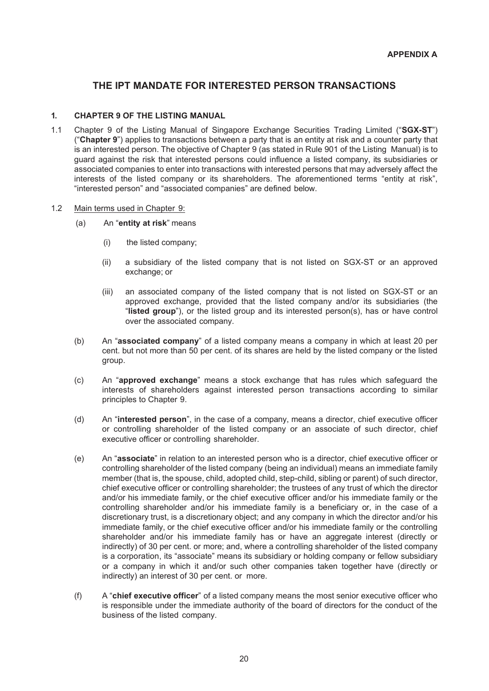# <span id="page-22-0"></span>**THE IPT MANDATE FOR INTERESTED PERSON TRANSACTIONS**

# <span id="page-22-2"></span><span id="page-22-1"></span>**1. CHAPTER 9 OF THE LISTING MANUAL**

- 1.1 Chapter 9 of the Listing Manual of Singapore Exchange Securities Trading Limited ("**SGX-ST**") ("**Chapter 9**") applies to transactions between a party that is an entity at risk and a counter party that is an interested person. The objective of Chapter 9 (as stated in Rule 901 of the Listing Manual) is to guard against the risk that interested persons could influence a listed company, its subsidiaries or associated companies to enter into transactions with interested persons that may adversely affect the interests of the listed company or its shareholders. The aforementioned terms "entity at risk", "interested person" and "associated companies" are defined below.
- 1.2 Main terms used in Chapter 9:
	- (a) An "**entity at risk**" means
		- (i) the listed company;
		- (ii) a subsidiary of the listed company that is not listed on SGX-ST or an approved exchange; or
		- (iii) an associated company of the listed company that is not listed on SGX-ST or an approved exchange, provided that the listed company and/or its subsidiaries (the "**listed group**"), or the listed group and its interested person(s), has or have control over the associated company.
	- (b) An "**associated company**" of a listed company means a company in which at least 20 per cent. but not more than 50 per cent. of its shares are held by the listed company or the listed group.
	- (c) An "**approved exchange**" means a stock exchange that has rules which safeguard the interests of shareholders against interested person transactions according to similar principles to Chapter 9.
	- (d) An "**interested person**", in the case of a company, means a director, chief executive officer or controlling shareholder of the listed company or an associate of such director, chief executive officer or controlling shareholder.
	- (e) An "**associate**" in relation to an interested person who is a director, chief executive officer or controlling shareholder of the listed company (being an individual) means an immediate family member (that is, the spouse, child, adopted child, step-child, sibling or parent) of such director, chief executive officer or controlling shareholder; the trustees of any trust of which the director and/or his immediate family, or the chief executive officer and/or his immediate family or the controlling shareholder and/or his immediate family is a beneficiary or, in the case of a discretionary trust, is a discretionary object; and any company in which the director and/or his immediate family, or the chief executive officer and/or his immediate family or the controlling shareholder and/or his immediate family has or have an aggregate interest (directly or indirectly) of 30 per cent. or more; and, where a controlling shareholder of the listed company is a corporation, its "associate" means its subsidiary or holding company or fellow subsidiary or a company in which it and/or such other companies taken together have (directly or indirectly) an interest of 30 per cent. or more.
	- (f) A "**chief executive officer**" of a listed company means the most senior executive officer who is responsible under the immediate authority of the board of directors for the conduct of the business of the listed company.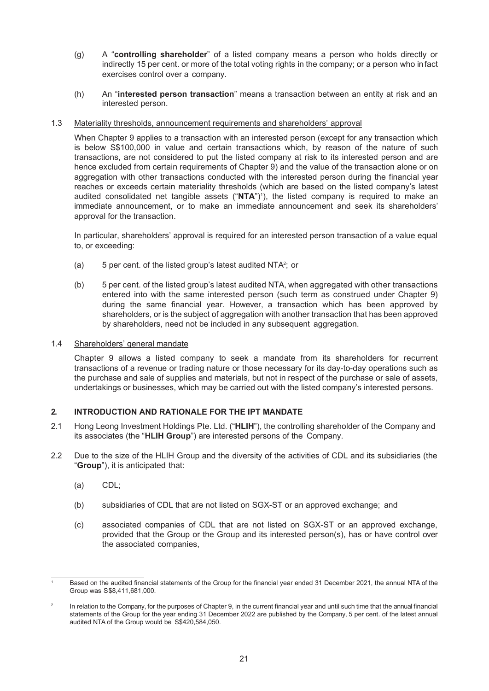- (g) A "**controlling shareholder**" of a listed company means a person who holds directly or indirectly 15 per cent. or more of the total voting rights in the company; or a person who in fact exercises control over a company.
- (h) An "**interested person transaction**" means a transaction between an entity at risk and an interested person.

#### 1.3 Materiality thresholds, announcement requirements and shareholders' approval

When Chapter 9 applies to a transaction with an interested person (except for any transaction which is below S\$100,000 in value and certain transactions which, by reason of the nature of such transactions, are not considered to put the listed company at risk to its interested person and are hence excluded from certain requirements of Chapter 9) and the value of the transaction alone or on aggregation with other transactions conducted with the interested person during the financial year reaches or exceeds certain materiality thresholds (which are based on the listed company's latest audited consolidated net tangible assets ("**NTA**")<sup>1</sup>), the listed company is required to make an immediate announcement, or to make an immediate announcement and seek its shareholders' approval for the transaction.

In particular, shareholders' approval is required for an interested person transaction of a value equal to, or exceeding:

- (a)  $\qquad$  5 per cent. of the listed group's latest audited NTA<sup>2</sup>; or
- (b) 5 per cent. of the listed group's latest audited NTA, when aggregated with other transactions entered into with the same interested person (such term as construed under Chapter 9) during the same financial year. However, a transaction which has been approved by shareholders, or is the subject of aggregation with another transaction that has been approved by shareholders, need not be included in any subsequent aggregation.

#### 1.4 Shareholders' general mandate

Chapter 9 allows a listed company to seek a mandate from its shareholders for recurrent transactions of a revenue or trading nature or those necessary for its day-to-day operations such as the purchase and sale of supplies and materials, but not in respect of the purchase or sale of assets, undertakings or businesses, which may be carried out with the listed company's interested persons.

## <span id="page-23-0"></span>**2. INTRODUCTION AND RATIONALE FOR THE IPT MANDATE**

- 2.1 Hong Leong Investment Holdings Pte. Ltd. ("**HLIH**"), the controlling shareholder of the Company and its associates (the "**HLIH Group**") are interested persons of the Company.
- 2.2 Due to the size of the HLIH Group and the diversity of the activities of CDL and its subsidiaries (the "**Group**"), it is anticipated that:
	- (a) CDL;
	- (b) subsidiaries of CDL that are not listed on SGX-ST or an approved exchange; and
	- (c) associated companies of CDL that are not listed on SGX-ST or an approved exchange, provided that the Group or the Group and its interested person(s), has or have control over the associated companies,

Based on the audited financial statements of the Group for the financial year ended 31 December 2021, the annual NTA of the Group was S\$8,411,681,000.

<sup>&</sup>lt;sup>2</sup> In relation to the Company, for the purposes of Chapter 9, in the current financial year and until such time that the annual financial statements of the Group for the year ending 31 December 2022 are published by the Company, 5 per cent. of the latest annual audited NTA of the Group would be S\$420,584,050.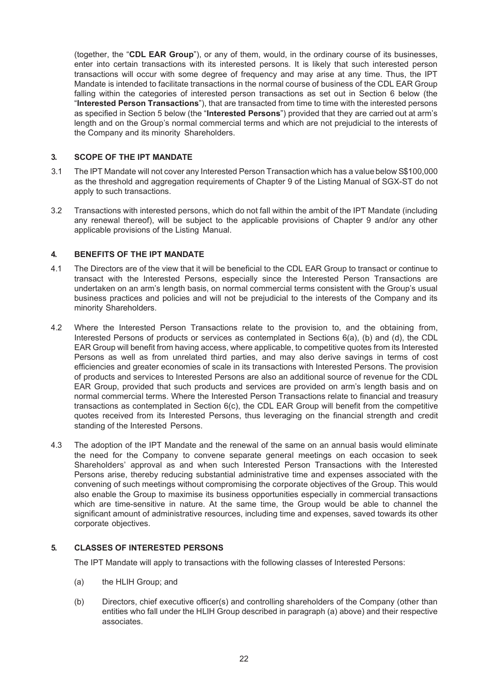(together, the "**CDL EAR Group**"), or any of them, would, in the ordinary course of its businesses, enter into certain transactions with its interested persons. It is likely that such interested person transactions will occur with some degree of frequency and may arise at any time. Thus, the IPT Mandate is intended to facilitate transactions in the normal course of business of the CDL EAR Group falling within the categories of interested person transactions as set out in Section 6 below (the "**Interested Person Transactions**"), that are transacted from time to time with the interested persons as specified in Section 5 below (the "**Interested Persons**") provided that they are carried out at arm's length and on the Group's normal commercial terms and which are not prejudicial to the interests of the Company and its minority Shareholders.

## <span id="page-24-0"></span>**3. SCOPE OF THE IPT MANDATE**

- 3.1 The IPT Mandate will not cover any Interested Person Transaction which has a value below S\$100,000 as the threshold and aggregation requirements of Chapter 9 of the Listing Manual of SGX-ST do not apply to such transactions.
- 3.2 Transactions with interested persons, which do not fall within the ambit of the IPT Mandate (including any renewal thereof), will be subject to the applicable provisions of Chapter 9 and/or any other applicable provisions of the Listing Manual.

# <span id="page-24-1"></span>**4. BENEFITS OF THE IPT MANDATE**

- 4.1 The Directors are of the view that it will be beneficial to the CDL EAR Group to transact or continue to transact with the Interested Persons, especially since the Interested Person Transactions are undertaken on an arm's length basis, on normal commercial terms consistent with the Group's usual business practices and policies and will not be prejudicial to the interests of the Company and its minority Shareholders.
- 4.2 Where the Interested Person Transactions relate to the provision to, and the obtaining from, Interested Persons of products or services as contemplated in Sections 6(a), (b) and (d), the CDL EAR Group will benefit from having access, where applicable, to competitive quotes from its Interested Persons as well as from unrelated third parties, and may also derive savings in terms of cost efficiencies and greater economies of scale in its transactions with Interested Persons. The provision of products and services to Interested Persons are also an additional source of revenue for the CDL EAR Group, provided that such products and services are provided on arm's length basis and on normal commercial terms. Where the Interested Person Transactions relate to financial and treasury transactions as contemplated in Section 6(c), the CDL EAR Group will benefit from the competitive quotes received from its Interested Persons, thus leveraging on the financial strength and credit standing of the Interested Persons.
- 4.3 The adoption of the IPT Mandate and the renewal of the same on an annual basis would eliminate the need for the Company to convene separate general meetings on each occasion to seek Shareholders' approval as and when such Interested Person Transactions with the Interested Persons arise, thereby reducing substantial administrative time and expenses associated with the convening of such meetings without compromising the corporate objectives of the Group. This would also enable the Group to maximise its business opportunities especially in commercial transactions which are time-sensitive in nature. At the same time, the Group would be able to channel the significant amount of administrative resources, including time and expenses, saved towards its other corporate objectives.

## <span id="page-24-2"></span>**5. CLASSES OF INTERESTED PERSONS**

The IPT Mandate will apply to transactions with the following classes of Interested Persons:

- (a) the HLIH Group; and
- (b) Directors, chief executive officer(s) and controlling shareholders of the Company (other than entities who fall under the HLIH Group described in paragraph (a) above) and their respective associates.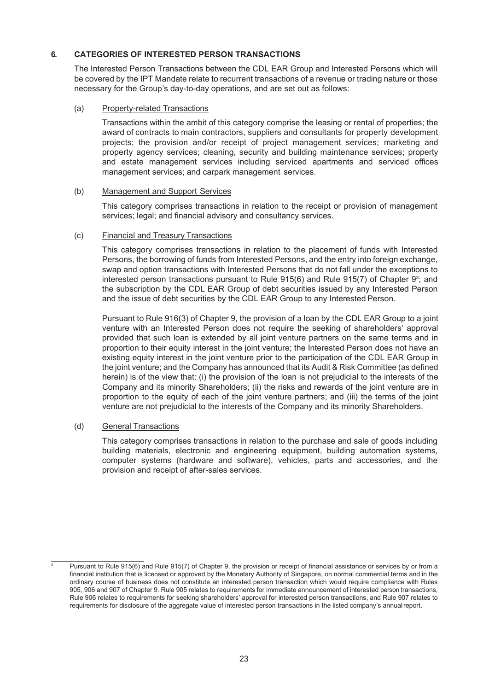# <span id="page-25-0"></span>**6. CATEGORIES OF INTERESTED PERSON TRANSACTIONS**

The Interested Person Transactions between the CDL EAR Group and Interested Persons which will be covered by the IPT Mandate relate to recurrent transactions of a revenue or trading nature or those necessary for the Group's day-to-day operations, and are set out as follows:

#### (a) Property-related Transactions

Transactions within the ambit of this category comprise the leasing or rental of properties; the award of contracts to main contractors, suppliers and consultants for property development projects; the provision and/or receipt of project management services; marketing and property agency services; cleaning, security and building maintenance services; property and estate management services including serviced apartments and serviced offices management services; and carpark management services.

#### (b) Management and Support Services

This category comprises transactions in relation to the receipt or provision of management services; legal; and financial advisory and consultancy services.

## (c) Financial and Treasury Transactions

This category comprises transactions in relation to the placement of funds with Interested Persons, the borrowing of funds from Interested Persons, and the entry into foreign exchange, swap and option transactions with Interested Persons that do not fall under the exceptions to interested person transactions pursuant to Rule 915(6) and Rule 915(7) of Chapter 9 $^{\circ}$ ; and the subscription by the CDL EAR Group of debt securities issued by any Interested Person and the issue of debt securities by the CDL EAR Group to any Interested Person.

Pursuant to Rule 916(3) of Chapter 9, the provision of a loan by the CDL EAR Group to a joint venture with an Interested Person does not require the seeking of shareholders' approval provided that such loan is extended by all joint venture partners on the same terms and in proportion to their equity interest in the joint venture; the Interested Person does not have an existing equity interest in the joint venture prior to the participation of the CDL EAR Group in the joint venture; and the Company has announced that its Audit & Risk Committee (as defined herein) is of the view that: (i) the provision of the loan is not prejudicial to the interests of the Company and its minority Shareholders; (ii) the risks and rewards of the joint venture are in proportion to the equity of each of the joint venture partners; and (iii) the terms of the joint venture are not prejudicial to the interests of the Company and its minority Shareholders.

## (d) General Transactions

This category comprises transactions in relation to the purchase and sale of goods including building materials, electronic and engineering equipment, building automation systems, computer systems (hardware and software), vehicles, parts and accessories, and the provision and receipt of after-sales services.

Pursuant to Rule 915(6) and Rule 915(7) of Chapter 9, the provision or receipt of financial assistance or services by or from a financial institution that is licensed or approved by the Monetary Authority of Singapore, on normal commercial terms and in the ordinary course of business does not constitute an interested person transaction which would require compliance with Rules 905, 906 and 907 of Chapter 9. Rule 905 relates to requirements for immediate announcement of interested person transactions, Rule 906 relates to requirements for seeking shareholders' approval for interested person transactions, and Rule 907 relates to requirements for disclosure of the aggregate value of interested person transactions in the listed company's annualreport.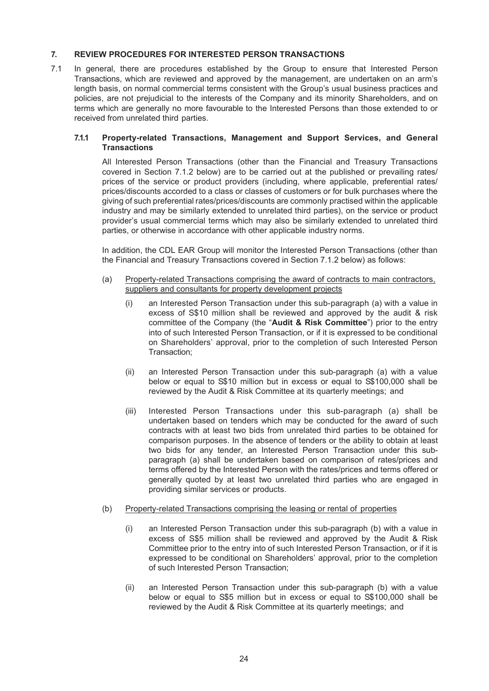## <span id="page-26-0"></span>**7. REVIEW PROCEDURES FOR INTERESTED PERSON TRANSACTIONS**

7.1 In general, there are procedures established by the Group to ensure that Interested Person Transactions, which are reviewed and approved by the management, are undertaken on an arm's length basis, on normal commercial terms consistent with the Group's usual business practices and policies, are not prejudicial to the interests of the Company and its minority Shareholders, and on terms which are generally no more favourable to the Interested Persons than those extended to or received from unrelated third parties.

#### **7.1.1 Property-related Transactions, Management and Support Services, and General Transactions**

All Interested Person Transactions (other than the Financial and Treasury Transactions covered in Section 7.1.2 below) are to be carried out at the published or prevailing rates/ prices of the service or product providers (including, where applicable, preferential rates/ prices/discounts accorded to a class or classes of customers or for bulk purchases where the giving of such preferential rates/prices/discounts are commonly practised within the applicable industry and may be similarly extended to unrelated third parties), on the service or product provider's usual commercial terms which may also be similarly extended to unrelated third parties, or otherwise in accordance with other applicable industry norms.

In addition, the CDL EAR Group will monitor the Interested Person Transactions (other than the Financial and Treasury Transactions covered in Section 7.1.2 below) as follows:

- (a) Property-related Transactions comprising the award of contracts to main contractors, suppliers and consultants for property development projects
	- (i) an Interested Person Transaction under this sub-paragraph (a) with a value in excess of S\$10 million shall be reviewed and approved by the audit & risk committee of the Company (the "**Audit & Risk Committee**") prior to the entry into of such Interested Person Transaction, or if it is expressed to be conditional on Shareholders' approval, prior to the completion of such Interested Person Transaction;
	- (ii) an Interested Person Transaction under this sub-paragraph (a) with a value below or equal to S\$10 million but in excess or equal to S\$100,000 shall be reviewed by the Audit & Risk Committee at its quarterly meetings; and
	- (iii) Interested Person Transactions under this sub-paragraph (a) shall be undertaken based on tenders which may be conducted for the award of such contracts with at least two bids from unrelated third parties to be obtained for comparison purposes. In the absence of tenders or the ability to obtain at least two bids for any tender, an Interested Person Transaction under this subparagraph (a) shall be undertaken based on comparison of rates/prices and terms offered by the Interested Person with the rates/prices and terms offered or generally quoted by at least two unrelated third parties who are engaged in providing similar services or products.

## (b) Property-related Transactions comprising the leasing or rental of properties

- (i) an Interested Person Transaction under this sub-paragraph (b) with a value in excess of S\$5 million shall be reviewed and approved by the Audit & Risk Committee prior to the entry into of such Interested Person Transaction, or if it is expressed to be conditional on Shareholders' approval, prior to the completion of such Interested Person Transaction;
- (ii) an Interested Person Transaction under this sub-paragraph (b) with a value below or equal to S\$5 million but in excess or equal to S\$100,000 shall be reviewed by the Audit & Risk Committee at its quarterly meetings; and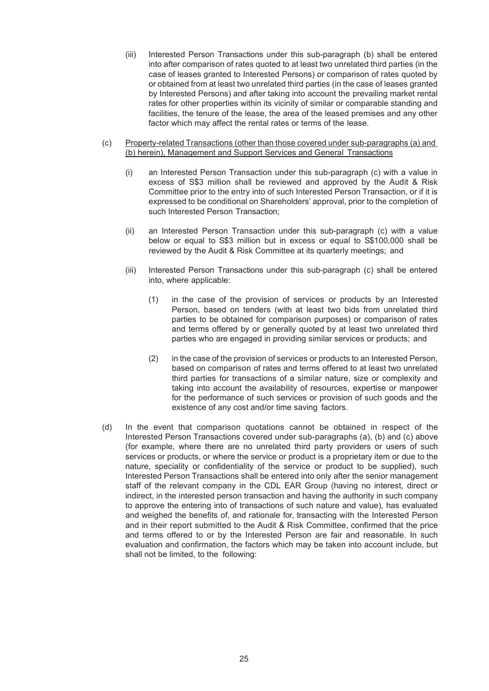- (iii) Interested Person Transactions under this sub-paragraph (b) shall be entered into after comparison of rates quoted to at least two unrelated third parties (in the case of leases granted to Interested Persons) or comparison of rates quoted by or obtained from at least two unrelated third parties (in the case of leases granted by Interested Persons) and after taking into account the prevailing market rental rates for other properties within its vicinity of similar or comparable standing and facilities, the tenure of the lease, the area of the leased premises and any other factor which may affect the rental rates or terms of the lease.
- (c) Property-related Transactions (other than those covered under sub-paragraphs (a) and (b) herein), Management and Support Services and General Transactions
	- (i) an Interested Person Transaction under this sub-paragraph (c) with a value in excess of S\$3 million shall be reviewed and approved by the Audit & Risk Committee prior to the entry into of such Interested Person Transaction, or if it is expressed to be conditional on Shareholders' approval, prior to the completion of such Interested Person Transaction;
	- (ii) an Interested Person Transaction under this sub-paragraph (c) with a value below or equal to S\$3 million but in excess or equal to S\$100,000 shall be reviewed by the Audit & Risk Committee at its quarterly meetings; and
	- (iii) Interested Person Transactions under this sub-paragraph (c) shall be entered into, where applicable:
		- (1) in the case of the provision of services or products by an Interested Person, based on tenders (with at least two bids from unrelated third parties to be obtained for comparison purposes) or comparison of rates and terms offered by or generally quoted by at least two unrelated third parties who are engaged in providing similar services or products; and
		- (2) in the case of the provision of services or products to an Interested Person, based on comparison of rates and terms offered to at least two unrelated third parties for transactions of a similar nature, size or complexity and taking into account the availability of resources, expertise or manpower for the performance of such services or provision of such goods and the existence of any cost and/or time saving factors.
- (d) In the event that comparison quotations cannot be obtained in respect of the Interested Person Transactions covered under sub-paragraphs (a), (b) and (c) above (for example, where there are no unrelated third party providers or users of such services or products, or where the service or product is a proprietary item or due to the nature, speciality or confidentiality of the service or product to be supplied), such Interested Person Transactions shall be entered into only after the senior management staff of the relevant company in the CDL EAR Group (having no interest, direct or indirect, in the interested person transaction and having the authority in such company to approve the entering into of transactions of such nature and value), has evaluated and weighed the benefits of, and rationale for, transacting with the Interested Person and in their report submitted to the Audit & Risk Committee, confirmed that the price and terms offered to or by the Interested Person are fair and reasonable. In such evaluation and confirmation, the factors which may be taken into account include, but shall not be limited, to the following: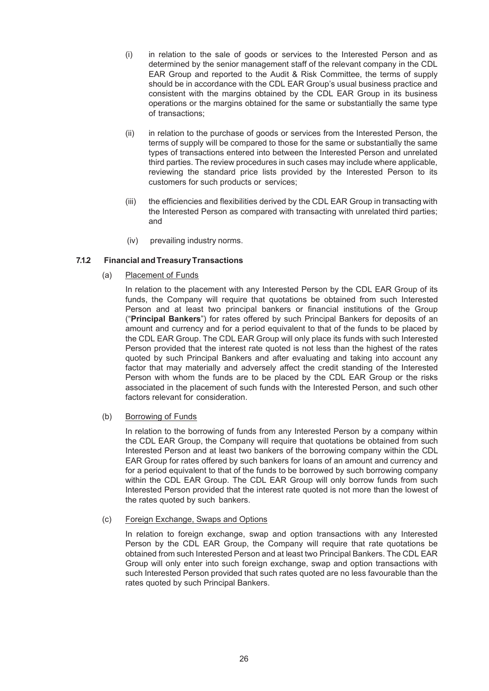- (i) in relation to the sale of goods or services to the Interested Person and as determined by the senior management staff of the relevant company in the CDL EAR Group and reported to the Audit & Risk Committee, the terms of supply should be in accordance with the CDL EAR Group's usual business practice and consistent with the margins obtained by the CDL EAR Group in its business operations or the margins obtained for the same or substantially the same type of transactions;
- (ii) in relation to the purchase of goods or services from the Interested Person, the terms of supply will be compared to those for the same or substantially the same types of transactions entered into between the Interested Person and unrelated third parties. The review procedures in such cases may include where applicable, reviewing the standard price lists provided by the Interested Person to its customers for such products or services;
- (iii) the efficiencies and flexibilities derived by the CDL EAR Group in transacting with the Interested Person as compared with transacting with unrelated third parties; and
- (iv) prevailing industry norms.

# **7.1.2 Financial andTreasuryTransactions**

(a) Placement of Funds

In relation to the placement with any Interested Person by the CDL EAR Group of its funds, the Company will require that quotations be obtained from such Interested Person and at least two principal bankers or financial institutions of the Group ("**Principal Bankers**") for rates offered by such Principal Bankers for deposits of an amount and currency and for a period equivalent to that of the funds to be placed by the CDL EAR Group. The CDL EAR Group will only place its funds with such Interested Person provided that the interest rate quoted is not less than the highest of the rates quoted by such Principal Bankers and after evaluating and taking into account any factor that may materially and adversely affect the credit standing of the Interested Person with whom the funds are to be placed by the CDL EAR Group or the risks associated in the placement of such funds with the Interested Person, and such other factors relevant for consideration.

(b) Borrowing of Funds

In relation to the borrowing of funds from any Interested Person by a company within the CDL EAR Group, the Company will require that quotations be obtained from such Interested Person and at least two bankers of the borrowing company within the CDL EAR Group for rates offered by such bankers for loans of an amount and currency and for a period equivalent to that of the funds to be borrowed by such borrowing company within the CDL EAR Group. The CDL EAR Group will only borrow funds from such Interested Person provided that the interest rate quoted is not more than the lowest of the rates quoted by such bankers.

(c) Foreign Exchange, Swaps and Options

In relation to foreign exchange, swap and option transactions with any Interested Person by the CDL EAR Group, the Company will require that rate quotations be obtained from such Interested Person and at least two Principal Bankers. The CDL EAR Group will only enter into such foreign exchange, swap and option transactions with such Interested Person provided that such rates quoted are no less favourable than the rates quoted by such Principal Bankers.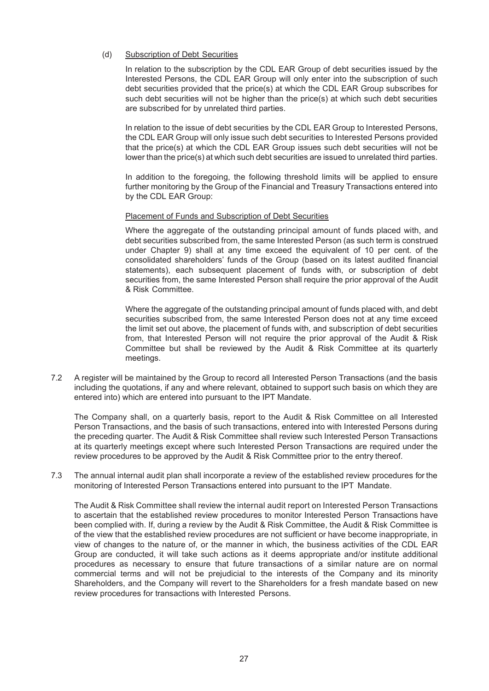#### (d) Subscription of Debt Securities

In relation to the subscription by the CDL EAR Group of debt securities issued by the Interested Persons, the CDL EAR Group will only enter into the subscription of such debt securities provided that the price(s) at which the CDL EAR Group subscribes for such debt securities will not be higher than the price(s) at which such debt securities are subscribed for by unrelated third parties.

In relation to the issue of debt securities by the CDL EAR Group to Interested Persons, the CDL EAR Group will only issue such debt securities to Interested Persons provided that the price(s) at which the CDL EAR Group issues such debt securities will not be lower than the price(s) at which such debt securities are issued to unrelated third parties.

In addition to the foregoing, the following threshold limits will be applied to ensure further monitoring by the Group of the Financial and Treasury Transactions entered into by the CDL EAR Group:

#### Placement of Funds and Subscription of Debt Securities

Where the aggregate of the outstanding principal amount of funds placed with, and debt securities subscribed from, the same Interested Person (as such term is construed under Chapter 9) shall at any time exceed the equivalent of 10 per cent. of the consolidated shareholders' funds of the Group (based on its latest audited financial statements), each subsequent placement of funds with, or subscription of debt securities from, the same Interested Person shall require the prior approval of the Audit & Risk Committee.

Where the aggregate of the outstanding principal amount of funds placed with, and debt securities subscribed from, the same Interested Person does not at any time exceed the limit set out above, the placement of funds with, and subscription of debt securities from, that Interested Person will not require the prior approval of the Audit & Risk Committee but shall be reviewed by the Audit & Risk Committee at its quarterly meetings.

7.2 A register will be maintained by the Group to record all Interested Person Transactions (and the basis including the quotations, if any and where relevant, obtained to support such basis on which they are entered into) which are entered into pursuant to the IPT Mandate.

The Company shall, on a quarterly basis, report to the Audit & Risk Committee on all Interested Person Transactions, and the basis of such transactions, entered into with Interested Persons during the preceding quarter. The Audit & Risk Committee shall review such Interested Person Transactions at its quarterly meetings except where such Interested Person Transactions are required under the review procedures to be approved by the Audit & Risk Committee prior to the entry thereof.

7.3 The annual internal audit plan shall incorporate a review of the established review procedures for the monitoring of Interested Person Transactions entered into pursuant to the IPT Mandate.

The Audit & Risk Committee shall review the internal audit report on Interested Person Transactions to ascertain that the established review procedures to monitor Interested Person Transactions have been complied with. If, during a review by the Audit & Risk Committee, the Audit & Risk Committee is of the view that the established review procedures are not sufficient or have become inappropriate, in view of changes to the nature of, or the manner in which, the business activities of the CDL EAR Group are conducted, it will take such actions as it deems appropriate and/or institute additional procedures as necessary to ensure that future transactions of a similar nature are on normal commercial terms and will not be prejudicial to the interests of the Company and its minority Shareholders, and the Company will revert to the Shareholders for a fresh mandate based on new review procedures for transactions with Interested Persons.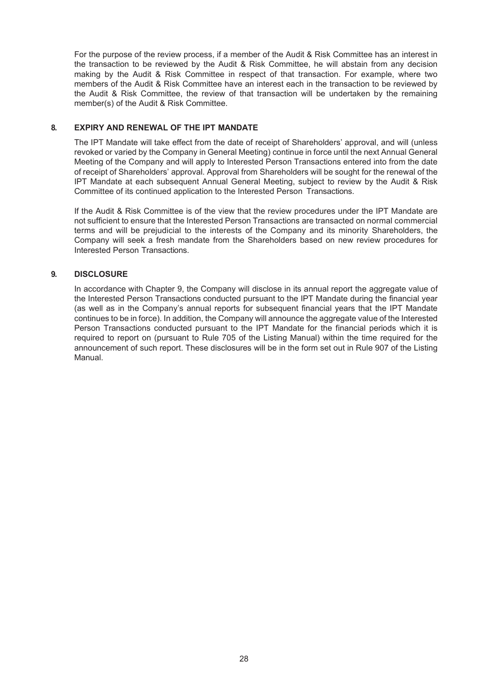For the purpose of the review process, if a member of the Audit & Risk Committee has an interest in the transaction to be reviewed by the Audit & Risk Committee, he will abstain from any decision making by the Audit & Risk Committee in respect of that transaction. For example, where two members of the Audit & Risk Committee have an interest each in the transaction to be reviewed by the Audit & Risk Committee, the review of that transaction will be undertaken by the remaining member(s) of the Audit & Risk Committee.

## <span id="page-30-0"></span>**8. EXPIRY AND RENEWAL OF THE IPT MANDATE**

The IPT Mandate will take effect from the date of receipt of Shareholders' approval, and will (unless revoked or varied by the Company in General Meeting) continue in force until the next Annual General Meeting of the Company and will apply to Interested Person Transactions entered into from the date of receipt of Shareholders' approval. Approval from Shareholders will be sought for the renewal of the IPT Mandate at each subsequent Annual General Meeting, subject to review by the Audit & Risk Committee of its continued application to the Interested Person Transactions.

If the Audit & Risk Committee is of the view that the review procedures under the IPT Mandate are not sufficient to ensure that the Interested Person Transactions are transacted on normal commercial terms and will be prejudicial to the interests of the Company and its minority Shareholders, the Company will seek a fresh mandate from the Shareholders based on new review procedures for Interested Person Transactions.

## <span id="page-30-1"></span>**9. DISCLOSURE**

In accordance with Chapter 9, the Company will disclose in its annual report the aggregate value of the Interested Person Transactions conducted pursuant to the IPT Mandate during the financial year (as well as in the Company's annual reports for subsequent financial years that the IPT Mandate continues to be in force). In addition, the Company will announce the aggregate value of the Interested Person Transactions conducted pursuant to the IPT Mandate for the financial periods which it is required to report on (pursuant to Rule 705 of the Listing Manual) within the time required for the announcement of such report. These disclosures will be in the form set out in Rule 907 of the Listing Manual.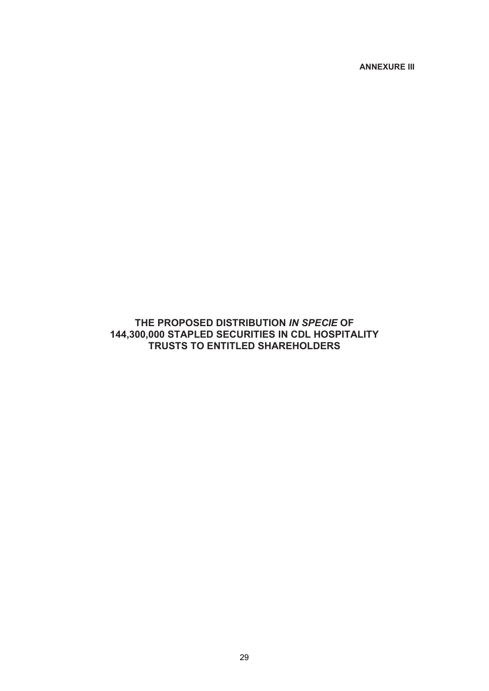**ANNEXURE III**

# <span id="page-31-0"></span>**THE PROPOSED DISTRIBUTION** *IN SPECIE* **OF 144,300,000 STAPLED SECURITIES IN CDL HOSPITALITY TRUSTS TO ENTITLED SHAREHOLDERS**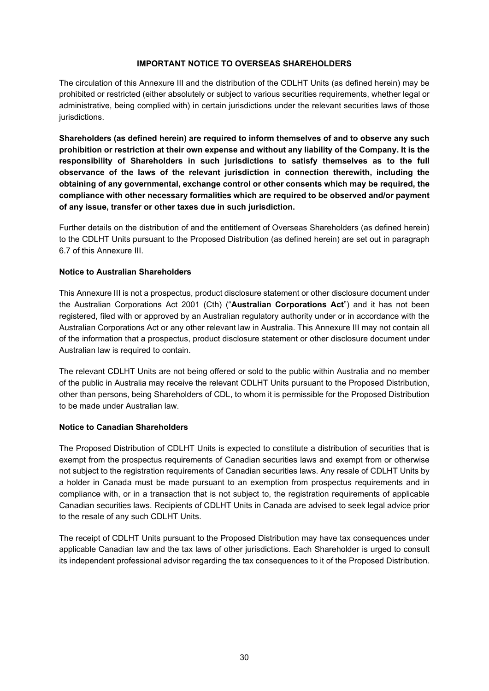### **IMPORTANT NOTICE TO OVERSEAS SHAREHOLDERS**

The circulation of this Annexure III and the distribution of the CDLHT Units (as defined herein) may be prohibited or restricted (either absolutely or subject to various securities requirements, whether legal or administrative, being complied with) in certain jurisdictions under the relevant securities laws of those jurisdictions.

**Shareholders (as defined herein) are required to inform themselves of and to observe any such prohibition or restriction at their own expense and without any liability of the Company. It is the responsibility of Shareholders in such jurisdictions to satisfy themselves as to the full observance of the laws of the relevant jurisdiction in connection therewith, including the obtaining of any governmental, exchange control or other consents which may be required, the compliance with other necessary formalities which are required to be observed and/or payment of any issue, transfer or other taxes due in such jurisdiction.**

Further details on the distribution of and the entitlement of Overseas Shareholders (as defined herein) to the CDLHT Units pursuant to the Proposed Distribution (as defined herein) are set out in paragraph 6.7 of this Annexure III.

## **Notice to Australian Shareholders**

This Annexure III is not a prospectus, product disclosure statement or other disclosure document under the Australian Corporations Act 2001 (Cth) ("**Australian Corporations Act**") and it has not been registered, filed with or approved by an Australian regulatory authority under or in accordance with the Australian Corporations Act or any other relevant law in Australia. This Annexure III may not contain all of the information that a prospectus, product disclosure statement or other disclosure document under Australian law is required to contain.

The relevant CDLHT Units are not being offered or sold to the public within Australia and no member of the public in Australia may receive the relevant CDLHT Units pursuant to the Proposed Distribution, other than persons, being Shareholders of CDL, to whom it is permissible for the Proposed Distribution to be made under Australian law.

## **Notice to Canadian Shareholders**

The Proposed Distribution of CDLHT Units is expected to constitute a distribution of securities that is exempt from the prospectus requirements of Canadian securities laws and exempt from or otherwise not subject to the registration requirements of Canadian securities laws. Any resale of CDLHT Units by a holder in Canada must be made pursuant to an exemption from prospectus requirements and in compliance with, or in a transaction that is not subject to, the registration requirements of applicable Canadian securities laws. Recipients of CDLHT Units in Canada are advised to seek legal advice prior to the resale of any such CDLHT Units.

The receipt of CDLHT Units pursuant to the Proposed Distribution may have tax consequences under applicable Canadian law and the tax laws of other jurisdictions. Each Shareholder is urged to consult its independent professional advisor regarding the tax consequences to it of the Proposed Distribution.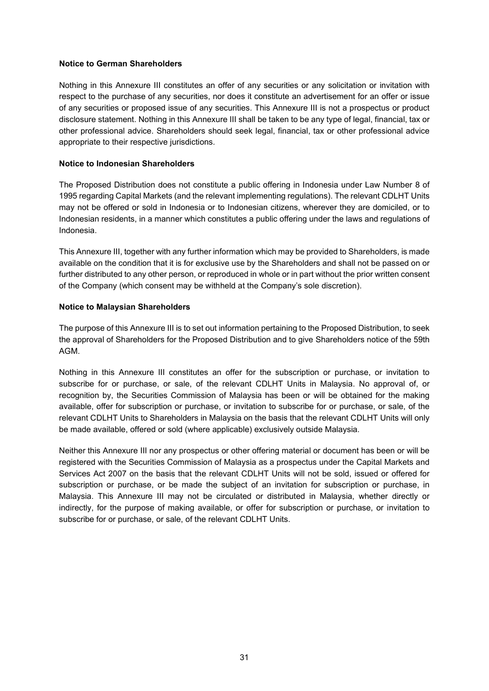#### **Notice to German Shareholders**

Nothing in this Annexure III constitutes an offer of any securities or any solicitation or invitation with respect to the purchase of any securities, nor does it constitute an advertisement for an offer or issue of any securities or proposed issue of any securities. This Annexure III is not a prospectus or product disclosure statement. Nothing in this Annexure III shall be taken to be any type of legal, financial, tax or other professional advice. Shareholders should seek legal, financial, tax or other professional advice appropriate to their respective jurisdictions.

#### **Notice to Indonesian Shareholders**

The Proposed Distribution does not constitute a public offering in Indonesia under Law Number 8 of 1995 regarding Capital Markets (and the relevant implementing regulations). The relevant CDLHT Units may not be offered or sold in Indonesia or to Indonesian citizens, wherever they are domiciled, or to Indonesian residents, in a manner which constitutes a public offering under the laws and regulations of Indonesia.

This Annexure III, together with any further information which may be provided to Shareholders, is made available on the condition that it is for exclusive use by the Shareholders and shall not be passed on or further distributed to any other person, or reproduced in whole or in part without the prior written consent of the Company (which consent may be withheld at the Company's sole discretion).

#### **Notice to Malaysian Shareholders**

The purpose of this Annexure III is to set out information pertaining to the Proposed Distribution, to seek the approval of Shareholders for the Proposed Distribution and to give Shareholders notice of the 59th AGM.

Nothing in this Annexure III constitutes an offer for the subscription or purchase, or invitation to subscribe for or purchase, or sale, of the relevant CDLHT Units in Malaysia. No approval of, or recognition by, the Securities Commission of Malaysia has been or will be obtained for the making available, offer for subscription or purchase, or invitation to subscribe for or purchase, or sale, of the relevant CDLHT Units to Shareholders in Malaysia on the basis that the relevant CDLHT Units will only be made available, offered or sold (where applicable) exclusively outside Malaysia.

Neither this Annexure III nor any prospectus or other offering material or document has been or will be registered with the Securities Commission of Malaysia as a prospectus under the Capital Markets and Services Act 2007 on the basis that the relevant CDLHT Units will not be sold, issued or offered for subscription or purchase, or be made the subject of an invitation for subscription or purchase, in Malaysia. This Annexure III may not be circulated or distributed in Malaysia, whether directly or indirectly, for the purpose of making available, or offer for subscription or purchase, or invitation to subscribe for or purchase, or sale, of the relevant CDLHT Units.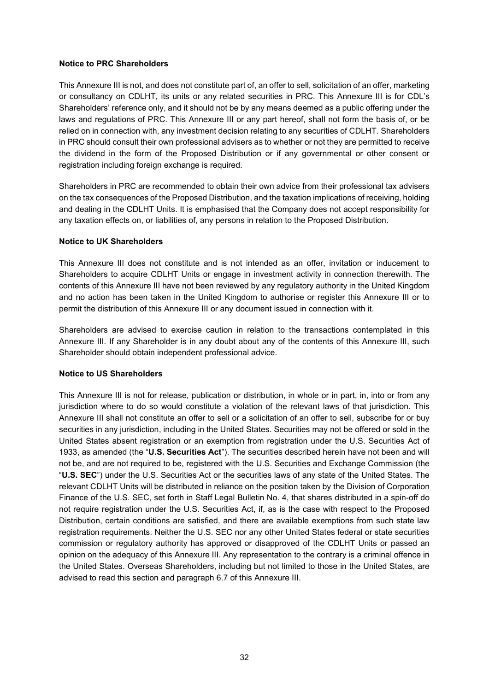### **Notice to PRC Shareholders**

This Annexure III is not, and does not constitute part of, an offer to sell, solicitation of an offer, marketing or consultancy on CDLHT, its units or any related securities in PRC. This Annexure III is for CDL's Shareholders' reference only, and it should not be by any means deemed as a public offering under the laws and regulations of PRC. This Annexure III or any part hereof, shall not form the basis of, or be relied on in connection with, any investment decision relating to any securities of CDLHT. Shareholders in PRC should consult their own professional advisers as to whether or not they are permitted to receive the dividend in the form of the Proposed Distribution or if any governmental or other consent or registration including foreign exchange is required.

Shareholders in PRC are recommended to obtain their own advice from their professional tax advisers on the tax consequences of the Proposed Distribution, and the taxation implications of receiving, holding and dealing in the CDLHT Units. It is emphasised that the Company does not accept responsibility for any taxation effects on, or liabilities of, any persons in relation to the Proposed Distribution.

#### **Notice to UK Shareholders**

This Annexure III does not constitute and is not intended as an offer, invitation or inducement to Shareholders to acquire CDLHT Units or engage in investment activity in connection therewith. The contents of this Annexure III have not been reviewed by any regulatory authority in the United Kingdom and no action has been taken in the United Kingdom to authorise or register this Annexure III or to permit the distribution of this Annexure III or any document issued in connection with it.

Shareholders are advised to exercise caution in relation to the transactions contemplated in this Annexure III. If any Shareholder is in any doubt about any of the contents of this Annexure III, such Shareholder should obtain independent professional advice.

## **Notice to US Shareholders**

This Annexure III is not for release, publication or distribution, in whole or in part, in, into or from any jurisdiction where to do so would constitute a violation of the relevant laws of that jurisdiction. This Annexure III shall not constitute an offer to sell or a solicitation of an offer to sell, subscribe for or buy securities in any jurisdiction, including in the United States. Securities may not be offered or sold in the United States absent registration or an exemption from registration under the U.S. Securities Act of 1933, as amended (the "**U.S. Securities Act**"). The securities described herein have not been and will not be, and are not required to be, registered with the U.S. Securities and Exchange Commission (the "**U.S. SEC**") under the U.S. Securities Act or the securities laws of any state of the United States. The relevant CDLHT Units will be distributed in reliance on the position taken by the Division of Corporation Finance of the U.S. SEC, set forth in Staff Legal Bulletin No. 4, that shares distributed in a spin-off do not require registration under the U.S. Securities Act, if, as is the case with respect to the Proposed Distribution, certain conditions are satisfied, and there are available exemptions from such state law registration requirements. Neither the U.S. SEC nor any other United States federal or state securities commission or regulatory authority has approved or disapproved of the CDLHT Units or passed an opinion on the adequacy of this Annexure III. Any representation to the contrary is a criminal offence in the United States. Overseas Shareholders, including but not limited to those in the United States, are advised to read this section and paragraph 6.7 of this Annexure III.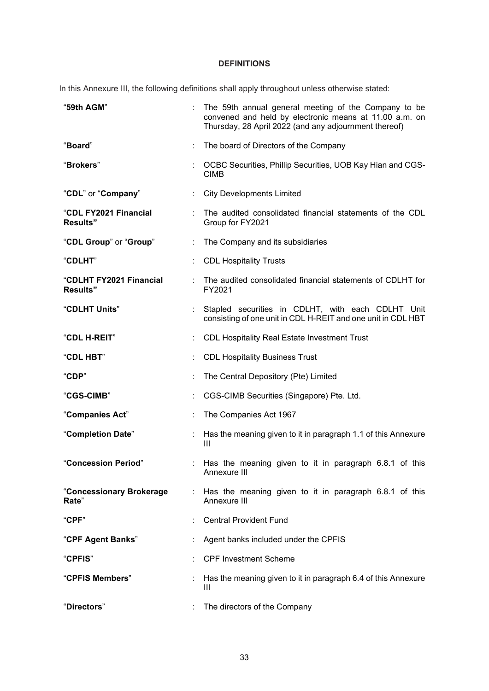# **DEFINITIONS**

In this Annexure III, the following definitions shall apply throughout unless otherwise stated:

| "59th AGM"                                 |    | The 59th annual general meeting of the Company to be<br>convened and held by electronic means at 11.00 a.m. on<br>Thursday, 28 April 2022 (and any adjournment thereof) |  |
|--------------------------------------------|----|-------------------------------------------------------------------------------------------------------------------------------------------------------------------------|--|
| "Board"                                    |    | The board of Directors of the Company                                                                                                                                   |  |
| "Brokers"<br><b>CIMB</b>                   |    | OCBC Securities, Phillip Securities, UOB Kay Hian and CGS-                                                                                                              |  |
| "CDL" or "Company"                         | ÷  | <b>City Developments Limited</b>                                                                                                                                        |  |
| "CDL FY2021 Financial<br><b>Results"</b>   |    | The audited consolidated financial statements of the CDL<br>Group for FY2021                                                                                            |  |
| "CDL Group" or "Group"                     | ÷. | The Company and its subsidiaries                                                                                                                                        |  |
| <b>"CDLHT"</b>                             |    | <b>CDL Hospitality Trusts</b>                                                                                                                                           |  |
| "CDLHT FY2021 Financial<br><b>Results"</b> |    | The audited consolidated financial statements of CDLHT for<br>FY2021                                                                                                    |  |
| "CDLHT Units"                              |    | Stapled securities in CDLHT, with each CDLHT Unit<br>consisting of one unit in CDL H-REIT and one unit in CDL HBT                                                       |  |
| "CDL H-REIT"                               |    | <b>CDL Hospitality Real Estate Investment Trust</b>                                                                                                                     |  |
| "CDL HBT"                                  |    | <b>CDL Hospitality Business Trust</b>                                                                                                                                   |  |
| "CDP"                                      |    | The Central Depository (Pte) Limited                                                                                                                                    |  |
| "CGS-CIMB"                                 |    | CGS-CIMB Securities (Singapore) Pte. Ltd.                                                                                                                               |  |
| "Companies Act"                            |    | The Companies Act 1967                                                                                                                                                  |  |
| "Completion Date"                          |    | Has the meaning given to it in paragraph 1.1 of this Annexure<br>$\mathbf{III}$                                                                                         |  |
| "Concession Period"                        |    | : Has the meaning given to it in paragraph 6.8.1 of this<br>Annexure III                                                                                                |  |
| "Concessionary Brokerage<br>Rate"          |    | : Has the meaning given to it in paragraph 6.8.1 of this<br>Annexure III                                                                                                |  |
| "CPF"                                      |    | <b>Central Provident Fund</b>                                                                                                                                           |  |
| "CPF Agent Banks"                          |    | Agent banks included under the CPFIS                                                                                                                                    |  |
| <b>"CPFIS"</b>                             |    | <b>CPF Investment Scheme</b>                                                                                                                                            |  |
| "CPFIS Members"                            |    | Has the meaning given to it in paragraph 6.4 of this Annexure<br>Ш                                                                                                      |  |
| "Directors"                                |    | The directors of the Company                                                                                                                                            |  |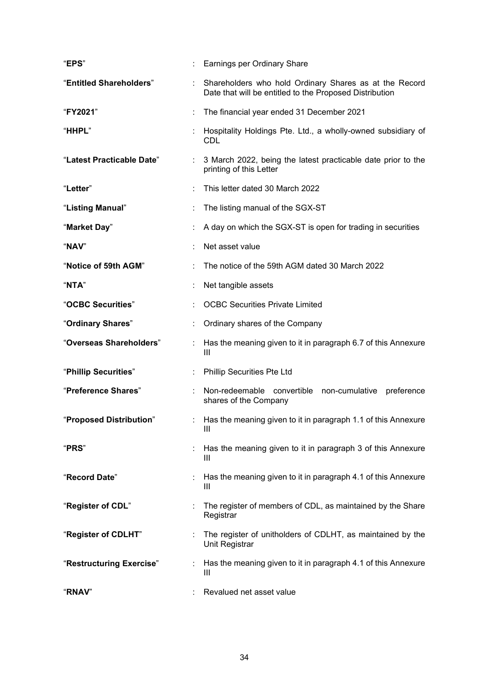| "EPS"                     |                                        | Earnings per Ordinary Share                                                                                       |  |  |
|---------------------------|----------------------------------------|-------------------------------------------------------------------------------------------------------------------|--|--|
| "Entitled Shareholders"   | ÷                                      | Shareholders who hold Ordinary Shares as at the Record<br>Date that will be entitled to the Proposed Distribution |  |  |
| "FY2021"                  |                                        | The financial year ended 31 December 2021                                                                         |  |  |
| "HHPL"                    |                                        | : Hospitality Holdings Pte. Ltd., a wholly-owned subsidiary of<br>CDL                                             |  |  |
| "Latest Practicable Date" | $\mathbb{R}^n$                         | 3 March 2022, being the latest practicable date prior to the<br>printing of this Letter                           |  |  |
| "Letter"                  |                                        | This letter dated 30 March 2022                                                                                   |  |  |
| "Listing Manual"          | ÷                                      | The listing manual of the SGX-ST                                                                                  |  |  |
| "Market Day"              |                                        | A day on which the SGX-ST is open for trading in securities                                                       |  |  |
| "NAV"                     |                                        | Net asset value                                                                                                   |  |  |
| "Notice of 59th AGM"      |                                        | The notice of the 59th AGM dated 30 March 2022                                                                    |  |  |
| "NTA"                     |                                        | Net tangible assets                                                                                               |  |  |
| "OCBC Securities"         | <b>OCBC Securities Private Limited</b> |                                                                                                                   |  |  |
| "Ordinary Shares"         |                                        | Ordinary shares of the Company                                                                                    |  |  |
| "Overseas Shareholders"   |                                        | : Has the meaning given to it in paragraph 6.7 of this Annexure<br>Ш                                              |  |  |
| "Phillip Securities"      |                                        | <b>Phillip Securities Pte Ltd</b>                                                                                 |  |  |
| "Preference Shares"       |                                        | Non-redeemable convertible non-cumulative preference<br>shares of the Company                                     |  |  |
| "Proposed Distribution"   | ÷.                                     | Has the meaning given to it in paragraph 1.1 of this Annexure<br>Ш                                                |  |  |
| "PRS"                     |                                        | Has the meaning given to it in paragraph 3 of this Annexure<br>Ш                                                  |  |  |
| "Record Date"             |                                        | Has the meaning given to it in paragraph 4.1 of this Annexure<br>Ш                                                |  |  |
| "Register of CDL"         |                                        | The register of members of CDL, as maintained by the Share<br>Registrar                                           |  |  |
| "Register of CDLHT"       |                                        | The register of unitholders of CDLHT, as maintained by the<br>Unit Registrar                                      |  |  |
| "Restructuring Exercise"  |                                        | Has the meaning given to it in paragraph 4.1 of this Annexure<br>Ш                                                |  |  |
| "RNAV"                    |                                        | Revalued net asset value                                                                                          |  |  |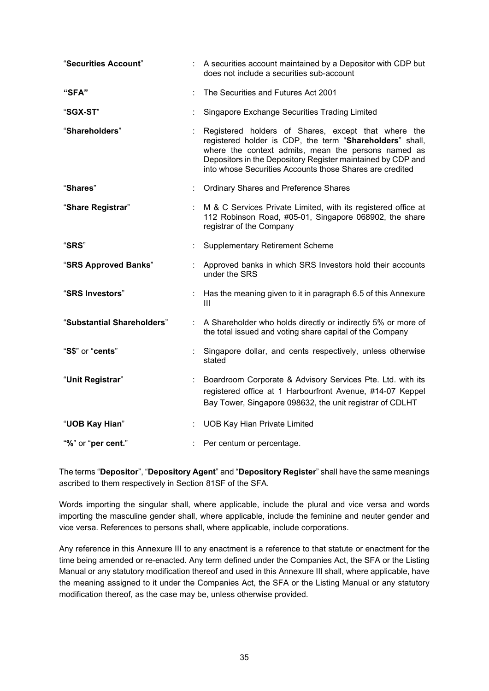| "Securities Account"       |                           | : A securities account maintained by a Depositor with CDP but<br>does not include a securities sub-account                                                                                                                                                                                        |  |
|----------------------------|---------------------------|---------------------------------------------------------------------------------------------------------------------------------------------------------------------------------------------------------------------------------------------------------------------------------------------------|--|
| "SFA"                      |                           | The Securities and Futures Act 2001                                                                                                                                                                                                                                                               |  |
| "SGX-ST"                   | ÷                         | Singapore Exchange Securities Trading Limited                                                                                                                                                                                                                                                     |  |
| "Shareholders"             |                           | Registered holders of Shares, except that where the<br>registered holder is CDP, the term "Shareholders" shall,<br>where the context admits, mean the persons named as<br>Depositors in the Depository Register maintained by CDP and<br>into whose Securities Accounts those Shares are credited |  |
| "Shares"                   | ÷.                        | <b>Ordinary Shares and Preference Shares</b>                                                                                                                                                                                                                                                      |  |
| "Share Registrar"          | ÷                         | M & C Services Private Limited, with its registered office at<br>112 Robinson Road, #05-01, Singapore 068902, the share<br>registrar of the Company                                                                                                                                               |  |
| "SRS"                      |                           | <b>Supplementary Retirement Scheme</b>                                                                                                                                                                                                                                                            |  |
| "SRS Approved Banks"       |                           | Approved banks in which SRS Investors hold their accounts<br>under the SRS                                                                                                                                                                                                                        |  |
| "SRS Investors"            | ÷.                        | Has the meaning given to it in paragraph 6.5 of this Annexure<br>Ш                                                                                                                                                                                                                                |  |
| "Substantial Shareholders" | ÷                         | A Shareholder who holds directly or indirectly 5% or more of<br>the total issued and voting share capital of the Company                                                                                                                                                                          |  |
| "S\$" or "cents"           |                           | Singapore dollar, and cents respectively, unless otherwise<br>stated                                                                                                                                                                                                                              |  |
| "Unit Registrar"           | $\mathbb{Z}^{\mathbb{Z}}$ | Boardroom Corporate & Advisory Services Pte. Ltd. with its<br>registered office at 1 Harbourfront Avenue, #14-07 Keppel<br>Bay Tower, Singapore 098632, the unit registrar of CDLHT                                                                                                               |  |
| "UOB Kay Hian"             |                           | <b>UOB Kay Hian Private Limited</b>                                                                                                                                                                                                                                                               |  |
| "%" or "per cent."         | t.                        | Per centum or percentage.                                                                                                                                                                                                                                                                         |  |

The terms "**Depositor**", "**Depository Agent**" and "**Depository Register**" shall have the same meanings ascribed to them respectively in Section 81SF of the SFA.

Words importing the singular shall, where applicable, include the plural and vice versa and words importing the masculine gender shall, where applicable, include the feminine and neuter gender and vice versa. References to persons shall, where applicable, include corporations.

Any reference in this Annexure III to any enactment is a reference to that statute or enactment for the time being amended or re-enacted. Any term defined under the Companies Act, the SFA or the Listing Manual or any statutory modification thereof and used in this Annexure III shall, where applicable, have the meaning assigned to it under the Companies Act, the SFA or the Listing Manual or any statutory modification thereof, as the case may be, unless otherwise provided.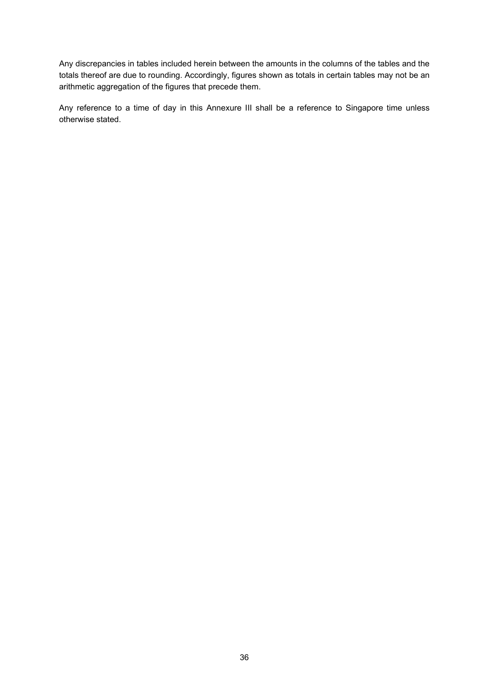Any discrepancies in tables included herein between the amounts in the columns of the tables and the totals thereof are due to rounding. Accordingly, figures shown as totals in certain tables may not be an arithmetic aggregation of the figures that precede them.

Any reference to a time of day in this Annexure III shall be a reference to Singapore time unless otherwise stated.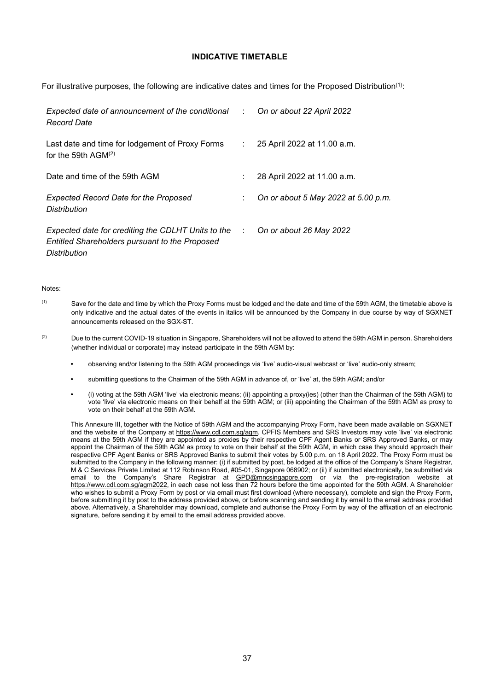#### **INDICATIVE TIMETABLE**

For illustrative purposes, the following are indicative dates and times for the Proposed Distribution<sup>(1)</sup>:

| Expected date of announcement of the conditional :<br><b>Record Date</b>                                             |               | On or about 22 April 2022           |
|----------------------------------------------------------------------------------------------------------------------|---------------|-------------------------------------|
| Last date and time for lodgement of Proxy Forms<br>for the 59th $AGM(2)$                                             | $\mathcal{L}$ | 25 April 2022 at 11.00 a.m.         |
| Date and time of the 59th AGM                                                                                        |               | 28 April 2022 at 11.00 a.m.         |
| <b>Expected Record Date for the Proposed</b><br><b>Distribution</b>                                                  |               | On or about 5 May 2022 at 5.00 p.m. |
| Expected date for crediting the CDLHT Units to the<br>Entitled Shareholders pursuant to the Proposed<br>Distribution |               | On or about 26 May 2022             |

#### Notes:

- (1) Save for the date and time by which the Proxy Forms must be lodged and the date and time of the 59th AGM, the timetable above is only indicative and the actual dates of the events in italics will be announced by the Company in due course by way of SGXNET announcements released on the SGX-ST.
- <sup>(2)</sup> Due to the current COVID-19 situation in Singapore, Shareholders will not be allowed to attend the 59th AGM in person. Shareholders (whether individual or corporate) may instead participate in the 59th AGM by:
	- **•** observing and/or listening to the 59th AGM proceedings via 'live' audio-visual webcast or 'live' audio-only stream;
	- **•** submitting questions to the Chairman of the 59th AGM in advance of, or 'live' at, the 59th AGM; and/or
	- **•** (i) voting at the 59th AGM 'live' via electronic means; (ii) appointing a proxy(ies) (other than the Chairman of the 59th AGM) to vote 'live' via electronic means on their behalf at the 59th AGM; or (iii) appointing the Chairman of the 59th AGM as proxy to vote on their behalf at the 59th AGM.

This Annexure III, together with the Notice of 59th AGM and the accompanying Proxy Form, have been made available on SGXNET and the website of the Company at [https://www.cdl.com.sg/agm.](https://www.cdl.com.sg/agm) CPFIS Members and SRS Investors may vote 'live' via electronic means at the 59th AGM if they are appointed as proxies by their respective CPF Agent Banks or SRS Approved Banks, or may appoint the Chairman of the 59th AGM as proxy to vote on their behalf at the 59th AGM, in which case they should approach their respective CPF Agent Banks or SRS Approved Banks to submit their votes by 5.00 p.m. on 18 April 2022. The Proxy Form must be submitted to the Company in the following manner: (i) if submitted by post, be lodged at the office of the Company's Share Registrar, M & C Services Private Limited at 112 Robinson Road, #05-01, Singapore 068902; or (ii) if submitted electronically, be submitted via email to the Company's Share Registrar at [GPD@mncsingapore.com](mailto:GPD@mncsingapore.com) or via the pre-registration website at [https://www.cdl.com.sg/agm2022,](https://www.cdl.com.sg/agm2022) in each case not less than 72 hours before the time appointed for the 59th AGM. A Shareholder who wishes to submit a Proxy Form by post or via email must first download (where necessary), complete and sign the Proxy Form, before submitting it by post to the address provided above, or before scanning and sending it by email to the email address provided above. Alternatively, a Shareholder may download, complete and authorise the Proxy Form by way of the affixation of an electronic signature, before sending it by email to the email address provided above.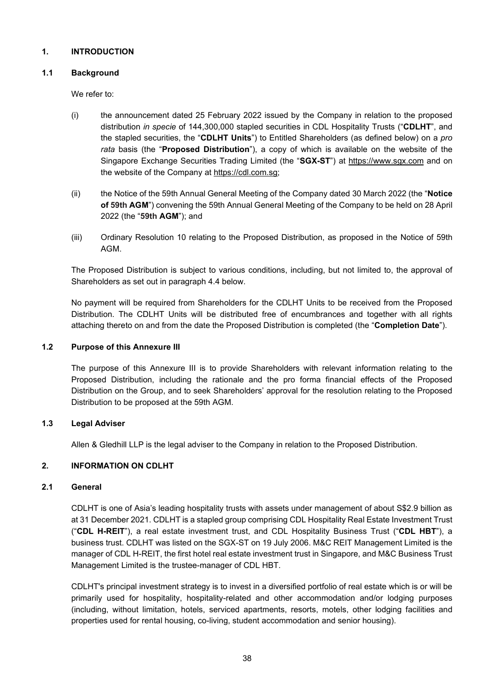## <span id="page-40-0"></span>**1. INTRODUCTION**

## **1.1 Background**

We refer to:

- (i) the announcement dated 25 February 2022 issued by the Company in relation to the proposed distribution *in specie* of 144,300,000 stapled securities in CDL Hospitality Trusts ("**CDLHT**", and the stapled securities, the "**CDLHT Units**") to Entitled Shareholders (as defined below) on a *pro rata* basis (the "**Proposed Distribution**"), a copy of which is available on the website of the Singapore Exchange Securities Trading Limited (the "**SGX-ST**") at [https://www.sgx.com](https://www.sgx.com/) and on the website of the Company at [https://cdl.com.sg;](https://cdl.com.sg/)
- (ii) the Notice of the 59th Annual General Meeting of the Company dated 30 March 2022 (the "**Notice of 59th AGM**") convening the 59th Annual General Meeting of the Company to be held on 28 April 2022 (the "**59th AGM**"); and
- (iii) Ordinary Resolution 10 relating to the Proposed Distribution, as proposed in the Notice of 59th AGM.

The Proposed Distribution is subject to various conditions, including, but not limited to, the approval of Shareholders as set out in paragraph 4.4 below.

No payment will be required from Shareholders for the CDLHT Units to be received from the Proposed Distribution. The CDLHT Units will be distributed free of encumbrances and together with all rights attaching thereto on and from the date the Proposed Distribution is completed (the "**Completion Date**").

## **1.2 Purpose of this Annexure III**

The purpose of this Annexure III is to provide Shareholders with relevant information relating to the Proposed Distribution, including the rationale and the pro forma financial effects of the Proposed Distribution on the Group, and to seek Shareholders' approval for the resolution relating to the Proposed Distribution to be proposed at the 59th AGM.

# **1.3 Legal Adviser**

Allen & Gledhill LLP is the legal adviser to the Company in relation to the Proposed Distribution.

# <span id="page-40-1"></span>**2. INFORMATION ON CDLHT**

# **2.1 General**

CDLHT is one of Asia's leading hospitality trusts with assets under management of about S\$2.9 billion as at 31 December 2021. CDLHT is a stapled group comprising CDL Hospitality Real Estate Investment Trust ("**CDL H-REIT**"), a real estate investment trust, and CDL Hospitality Business Trust ("**CDL HBT**"), a business trust. CDLHT was listed on the SGX-ST on 19 July 2006. M&C REIT Management Limited is the manager of CDL H-REIT, the first hotel real estate investment trust in Singapore, and M&C Business Trust Management Limited is the trustee-manager of CDL HBT.

CDLHT's principal investment strategy is to invest in a diversified portfolio of real estate which is or will be primarily used for hospitality, hospitality-related and other accommodation and/or lodging purposes (including, without limitation, hotels, serviced apartments, resorts, motels, other lodging facilities and properties used for rental housing, co-living, student accommodation and senior housing).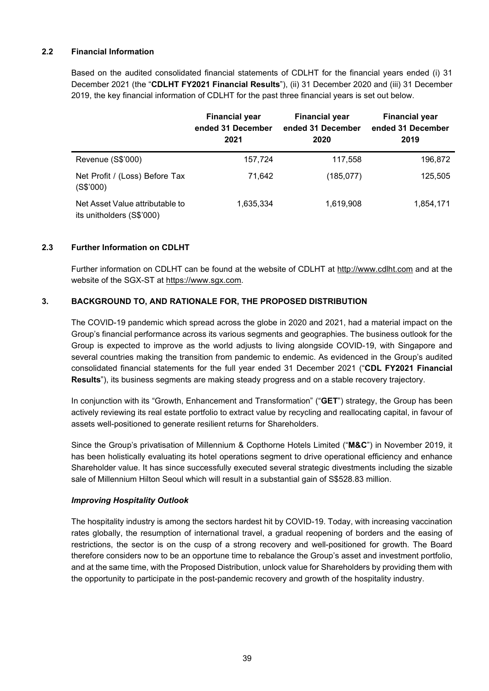# **2.2 Financial Information**

Based on the audited consolidated financial statements of CDLHT for the financial years ended (i) 31 December 2021 (the "**CDLHT FY2021 Financial Results**"), (ii) 31 December 2020 and (iii) 31 December 2019, the key financial information of CDLHT for the past three financial years is set out below.

|                                                              | <b>Financial year</b><br>ended 31 December<br>2021 | <b>Financial year</b><br>ended 31 December<br>2020 | <b>Financial year</b><br>ended 31 December<br>2019 |
|--------------------------------------------------------------|----------------------------------------------------|----------------------------------------------------|----------------------------------------------------|
| Revenue (S\$'000)                                            | 157,724                                            | 117,558                                            | 196,872                                            |
| Net Profit / (Loss) Before Tax<br>(S\$'000)                  | 71.642                                             | (185, 077)                                         | 125,505                                            |
| Net Asset Value attributable to<br>its unitholders (S\$'000) | 1,635,334                                          | 1,619,908                                          | 1,854,171                                          |

# **2.3 Further Information on CDLHT**

Further information on CDLHT can be found at the website of CDLHT at [http://www.cdlht.com](http://www.cdlht.com/) and at the website of the SGX-ST at [https://www.sgx.com.](https://www.sgx.com/)

# <span id="page-41-0"></span>**3. BACKGROUND TO, AND RATIONALE FOR, THE PROPOSED DISTRIBUTION**

The COVID-19 pandemic which spread across the globe in 2020 and 2021, had a material impact on the Group's financial performance across its various segments and geographies. The business outlook for the Group is expected to improve as the world adjusts to living alongside COVID-19, with Singapore and several countries making the transition from pandemic to endemic. As evidenced in the Group's audited consolidated financial statements for the full year ended 31 December 2021 ("**CDL FY2021 Financial Results**"), its business segments are making steady progress and on a stable recovery trajectory.

In conjunction with its "Growth, Enhancement and Transformation" ("**GET**") strategy, the Group has been actively reviewing its real estate portfolio to extract value by recycling and reallocating capital, in favour of assets well-positioned to generate resilient returns for Shareholders.

Since the Group's privatisation of Millennium & Copthorne Hotels Limited ("**M&C**") in November 2019, it has been holistically evaluating its hotel operations segment to drive operational efficiency and enhance Shareholder value. It has since successfully executed several strategic divestments including the sizable sale of Millennium Hilton Seoul which will result in a substantial gain of S\$528.83 million.

## *Improving Hospitality Outlook*

The hospitality industry is among the sectors hardest hit by COVID-19. Today, with increasing vaccination rates globally, the resumption of international travel, a gradual reopening of borders and the easing of restrictions, the sector is on the cusp of a strong recovery and well-positioned for growth. The Board therefore considers now to be an opportune time to rebalance the Group's asset and investment portfolio, and at the same time, with the Proposed Distribution, unlock value for Shareholders by providing them with the opportunity to participate in the post-pandemic recovery and growth of the hospitality industry.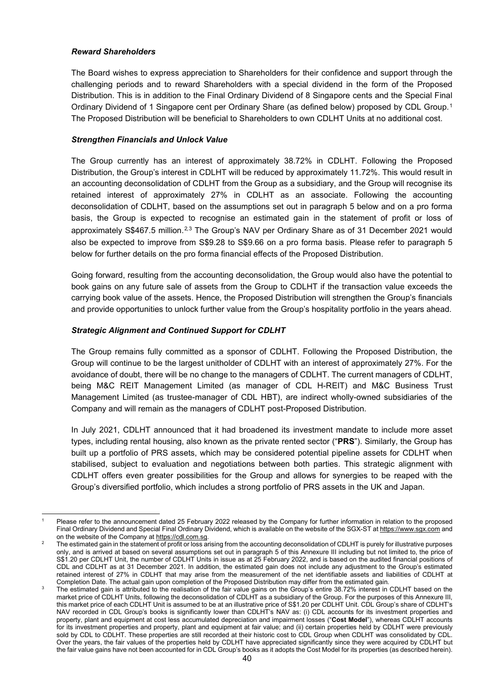# *Reward Shareholders*

The Board wishes to express appreciation to Shareholders for their confidence and support through the challenging periods and to reward Shareholders with a special dividend in the form of the Proposed Distribution. This is in addition to the Final Ordinary Dividend of 8 Singapore cents and the Special Final Ordinary Dividend of 1 Singapore cent per Ordinary Share (as defined below) proposed by CDL Group.[1](#page-42-0) The Proposed Distribution will be beneficial to Shareholders to own CDLHT Units at no additional cost.

# *Strengthen Financials and Unlock Value*

The Group currently has an interest of approximately 38.72% in CDLHT. Following the Proposed Distribution, the Group's interest in CDLHT will be reduced by approximately 11.72%. This would result in an accounting deconsolidation of CDLHT from the Group as a subsidiary, and the Group will recognise its retained interest of approximately 27% in CDLHT as an associate. Following the accounting deconsolidation of CDLHT, based on the assumptions set out in paragraph 5 below and on a pro forma basis, the Group is expected to recognise an estimated gain in the statement of profit or loss of approximately S\$467.5 million.<sup>[2](#page-42-1),[3](#page-42-2)</sup> The Group's NAV per Ordinary Share as of 31 December 2021 would also be expected to improve from S\$9.28 to S\$9.66 on a pro forma basis. Please refer to paragraph 5 below for further details on the pro forma financial effects of the Proposed Distribution.

Going forward, resulting from the accounting deconsolidation, the Group would also have the potential to book gains on any future sale of assets from the Group to CDLHT if the transaction value exceeds the carrying book value of the assets. Hence, the Proposed Distribution will strengthen the Group's financials and provide opportunities to unlock further value from the Group's hospitality portfolio in the years ahead.

# *Strategic Alignment and Continued Support for CDLHT*

The Group remains fully committed as a sponsor of CDLHT. Following the Proposed Distribution, the Group will continue to be the largest unitholder of CDLHT with an interest of approximately 27%. For the avoidance of doubt, there will be no change to the managers of CDLHT. The current managers of CDLHT, being M&C REIT Management Limited (as manager of CDL H-REIT) and M&C Business Trust Management Limited (as trustee-manager of CDL HBT), are indirect wholly-owned subsidiaries of the Company and will remain as the managers of CDLHT post-Proposed Distribution.

In July 2021, CDLHT announced that it had broadened its investment mandate to include more asset types, including rental housing, also known as the private rented sector ("**PRS**"). Similarly, the Group has built up a portfolio of PRS assets, which may be considered potential pipeline assets for CDLHT when stabilised, subject to evaluation and negotiations between both parties. This strategic alignment with CDLHT offers even greater possibilities for the Group and allows for synergies to be reaped with the Group's diversified portfolio, which includes a strong portfolio of PRS assets in the UK and Japan.

<span id="page-42-0"></span>Please refer to the announcement dated 25 February 2022 released by the Company for further information in relation to the proposed Final Ordinary Dividend and Special Final Ordinary Dividend, which is available on the website of the SGX-ST a[t https://www.sgx.com](https://www.sgx.com/) and on the website of the Company a[t https://cdl.com.sg.](https://cdl.com.sg/)

<span id="page-42-1"></span>The estimated gain in the statement of profit or loss arising from the accounting deconsolidation of CDLHT is purely for illustrative purposes only, and is arrived at based on several assumptions set out in paragraph 5 of this Annexure III including but not limited to, the price of S\$1.20 per CDLHT Unit, the number of CDLHT Units in issue as at 25 February 2022, and is based on the audited financial positions of CDL and CDLHT as at 31 December 2021. In addition, the estimated gain does not include any adjustment to the Group's estimated retained interest of 27% in CDLHT that may arise from the measurement of the net identifiable assets and liabilities of CDLHT at Completion Date. The actual gain upon completion of the Proposed Distribution may differ from the estimated gain.

<span id="page-42-2"></span>The estimated gain is attributed to the realisation of the fair value gains on the Group's entire 38.72% interest in CDLHT based on the market price of CDLHT Units, following the deconsolidation of CDLHT as a subsidiary of the Group. For the purposes of this Annexure III, this market price of each CDLHT Unit is assumed to be at an illustrative price of S\$1.20 per CDLHT Unit. CDL Group's share of CDLHT's NAV recorded in CDL Group's books is significantly lower than CDLHT's NAV as: (i) CDL accounts for its investment properties and property, plant and equipment at cost less accumulated depreciation and impairment losses ("**Cost Model**"), whereas CDLHT accounts for its investment properties and property, plant and equipment at fair value; and (ii) certain properties held by CDLHT were previously sold by CDL to CDLHT. These properties are still recorded at their historic cost to CDL Group when CDLHT was consolidated by CDL. Over the years, the fair values of the properties held by CDLHT have appreciated significantly since they were acquired by CDLHT but the fair value gains have not been accounted for in CDL Group's books as it adopts the Cost Model for its properties (as described herein).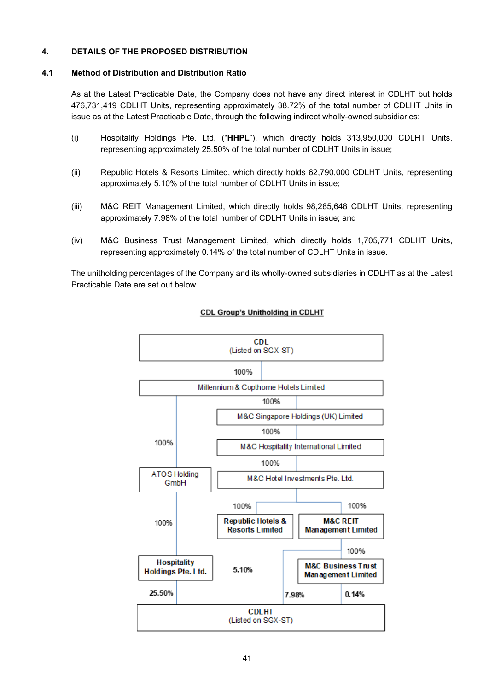# <span id="page-43-0"></span>**4. DETAILS OF THE PROPOSED DISTRIBUTION**

#### **4.1 Method of Distribution and Distribution Ratio**

As at the Latest Practicable Date, the Company does not have any direct interest in CDLHT but holds 476,731,419 CDLHT Units, representing approximately 38.72% of the total number of CDLHT Units in issue as at the Latest Practicable Date, through the following indirect wholly-owned subsidiaries:

- (i) Hospitality Holdings Pte. Ltd. ("**HHPL**"), which directly holds 313,950,000 CDLHT Units, representing approximately 25.50% of the total number of CDLHT Units in issue;
- (ii) Republic Hotels & Resorts Limited, which directly holds 62,790,000 CDLHT Units, representing approximately 5.10% of the total number of CDLHT Units in issue;
- (iii) M&C REIT Management Limited, which directly holds 98,285,648 CDLHT Units, representing approximately 7.98% of the total number of CDLHT Units in issue; and
- (iv) M&C Business Trust Management Limited, which directly holds 1,705,771 CDLHT Units, representing approximately 0.14% of the total number of CDLHT Units in issue.

The unitholding percentages of the Company and its wholly-owned subsidiaries in CDLHT as at the Latest Practicable Date are set out below.



#### **CDL Group's Unitholding in CDLHT**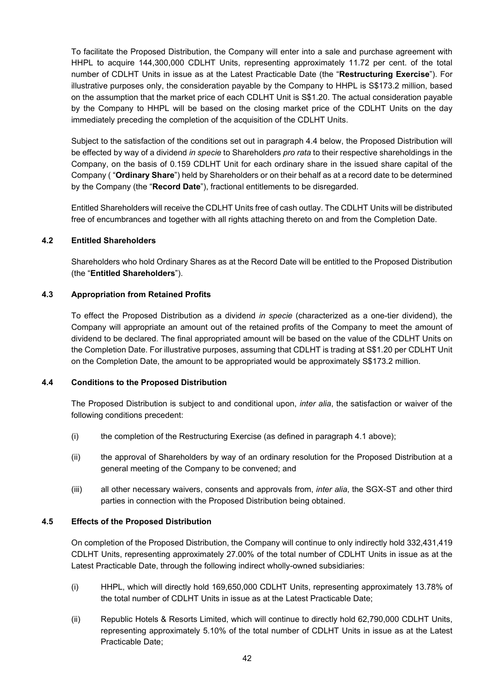To facilitate the Proposed Distribution, the Company will enter into a sale and purchase agreement with HHPL to acquire 144,300,000 CDLHT Units, representing approximately 11.72 per cent. of the total number of CDLHT Units in issue as at the Latest Practicable Date (the "**Restructuring Exercise**"). For illustrative purposes only, the consideration payable by the Company to HHPL is S\$173.2 million, based on the assumption that the market price of each CDLHT Unit is S\$1.20. The actual consideration payable by the Company to HHPL will be based on the closing market price of the CDLHT Units on the day immediately preceding the completion of the acquisition of the CDLHT Units.

Subject to the satisfaction of the conditions set out in paragraph 4.4 below, the Proposed Distribution will be effected by way of a dividend *in specie* to Shareholders *pro rata* to their respective shareholdings in the Company, on the basis of 0.159 CDLHT Unit for each ordinary share in the issued share capital of the Company ( "**Ordinary Share**") held by Shareholders or on their behalf as at a record date to be determined by the Company (the "**Record Date**"), fractional entitlements to be disregarded.

Entitled Shareholders will receive the CDLHT Units free of cash outlay. The CDLHT Units will be distributed free of encumbrances and together with all rights attaching thereto on and from the Completion Date.

## **4.2 Entitled Shareholders**

Shareholders who hold Ordinary Shares as at the Record Date will be entitled to the Proposed Distribution (the "**Entitled Shareholders**").

## **4.3 Appropriation from Retained Profits**

To effect the Proposed Distribution as a dividend *in specie* (characterized as a one-tier dividend), the Company will appropriate an amount out of the retained profits of the Company to meet the amount of dividend to be declared. The final appropriated amount will be based on the value of the CDLHT Units on the Completion Date. For illustrative purposes, assuming that CDLHT is trading at S\$1.20 per CDLHT Unit on the Completion Date, the amount to be appropriated would be approximately S\$173.2 million.

## **4.4 Conditions to the Proposed Distribution**

The Proposed Distribution is subject to and conditional upon, *inter alia*, the satisfaction or waiver of the following conditions precedent:

- (i) the completion of the Restructuring Exercise (as defined in paragraph 4.1 above);
- (ii) the approval of Shareholders by way of an ordinary resolution for the Proposed Distribution at a general meeting of the Company to be convened; and
- (iii) all other necessary waivers, consents and approvals from, *inter alia*, the SGX-ST and other third parties in connection with the Proposed Distribution being obtained.

## **4.5 Effects of the Proposed Distribution**

On completion of the Proposed Distribution, the Company will continue to only indirectly hold 332,431,419 CDLHT Units, representing approximately 27.00% of the total number of CDLHT Units in issue as at the Latest Practicable Date, through the following indirect wholly-owned subsidiaries:

- (i) HHPL, which will directly hold 169,650,000 CDLHT Units, representing approximately 13.78% of the total number of CDLHT Units in issue as at the Latest Practicable Date;
- (ii) Republic Hotels & Resorts Limited, which will continue to directly hold 62,790,000 CDLHT Units, representing approximately 5.10% of the total number of CDLHT Units in issue as at the Latest Practicable Date;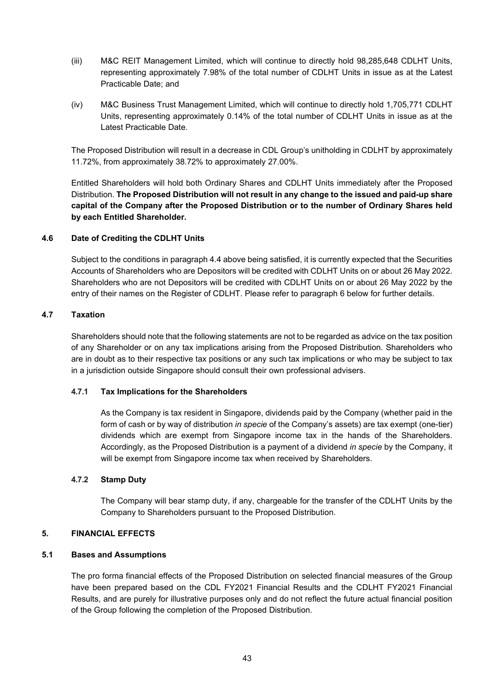- (iii) M&C REIT Management Limited, which will continue to directly hold 98,285,648 CDLHT Units, representing approximately 7.98% of the total number of CDLHT Units in issue as at the Latest Practicable Date; and
- (iv) M&C Business Trust Management Limited, which will continue to directly hold 1,705,771 CDLHT Units, representing approximately 0.14% of the total number of CDLHT Units in issue as at the Latest Practicable Date.

The Proposed Distribution will result in a decrease in CDL Group's unitholding in CDLHT by approximately 11.72%, from approximately 38.72% to approximately 27.00%.

Entitled Shareholders will hold both Ordinary Shares and CDLHT Units immediately after the Proposed Distribution. **The Proposed Distribution will not result in any change to the issued and paid-up share capital of the Company after the Proposed Distribution or to the number of Ordinary Shares held by each Entitled Shareholder.**

# **4.6 Date of Crediting the CDLHT Units**

Subject to the conditions in paragraph 4.4 above being satisfied, it is currently expected that the Securities Accounts of Shareholders who are Depositors will be credited with CDLHT Units on or about 26 May 2022. Shareholders who are not Depositors will be credited with CDLHT Units on or about 26 May 2022 by the entry of their names on the Register of CDLHT. Please refer to paragraph 6 below for further details.

## **4.7 Taxation**

Shareholders should note that the following statements are not to be regarded as advice on the tax position of any Shareholder or on any tax implications arising from the Proposed Distribution. Shareholders who are in doubt as to their respective tax positions or any such tax implications or who may be subject to tax in a jurisdiction outside Singapore should consult their own professional advisers.

## **4.7.1 Tax Implications for the Shareholders**

As the Company is tax resident in Singapore, dividends paid by the Company (whether paid in the form of cash or by way of distribution *in specie* of the Company's assets) are tax exempt (one-tier) dividends which are exempt from Singapore income tax in the hands of the Shareholders. Accordingly, as the Proposed Distribution is a payment of a dividend *in specie* by the Company, it will be exempt from Singapore income tax when received by Shareholders.

## **4.7.2 Stamp Duty**

The Company will bear stamp duty, if any, chargeable for the transfer of the CDLHT Units by the Company to Shareholders pursuant to the Proposed Distribution.

## <span id="page-45-0"></span>**5. FINANCIAL EFFECTS**

## **5.1 Bases and Assumptions**

The pro forma financial effects of the Proposed Distribution on selected financial measures of the Group have been prepared based on the CDL FY2021 Financial Results and the CDLHT FY2021 Financial Results, and are purely for illustrative purposes only and do not reflect the future actual financial position of the Group following the completion of the Proposed Distribution.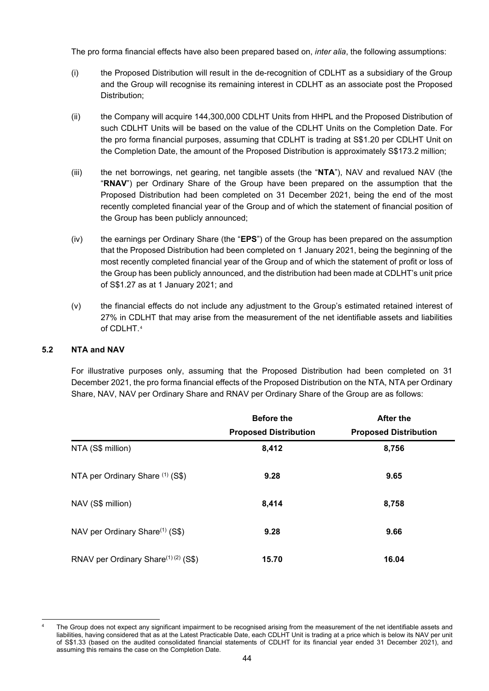The pro forma financial effects have also been prepared based on, *inter alia*, the following assumptions:

- (i) the Proposed Distribution will result in the de-recognition of CDLHT as a subsidiary of the Group and the Group will recognise its remaining interest in CDLHT as an associate post the Proposed Distribution;
- (ii) the Company will acquire 144,300,000 CDLHT Units from HHPL and the Proposed Distribution of such CDLHT Units will be based on the value of the CDLHT Units on the Completion Date. For the pro forma financial purposes, assuming that CDLHT is trading at S\$1.20 per CDLHT Unit on the Completion Date, the amount of the Proposed Distribution is approximately S\$173.2 million;
- (iii) the net borrowings, net gearing, net tangible assets (the "**NTA**"), NAV and revalued NAV (the "**RNAV**") per Ordinary Share of the Group have been prepared on the assumption that the Proposed Distribution had been completed on 31 December 2021, being the end of the most recently completed financial year of the Group and of which the statement of financial position of the Group has been publicly announced;
- (iv) the earnings per Ordinary Share (the "**EPS**") of the Group has been prepared on the assumption that the Proposed Distribution had been completed on 1 January 2021, being the beginning of the most recently completed financial year of the Group and of which the statement of profit or loss of the Group has been publicly announced, and the distribution had been made at CDLHT's unit price of S\$1.27 as at 1 January 2021; and
- (v) the financial effects do not include any adjustment to the Group's estimated retained interest of 27% in CDLHT that may arise from the measurement of the net identifiable assets and liabilities of CDLHT.<sup>[4](#page-46-0)</sup>

## **5.2 NTA and NAV**

For illustrative purposes only, assuming that the Proposed Distribution had been completed on 31 December 2021, the pro forma financial effects of the Proposed Distribution on the NTA, NTA per Ordinary Share, NAV, NAV per Ordinary Share and RNAV per Ordinary Share of the Group are as follows:

|                                                 | <b>Before the</b>            | <b>After the</b>             |
|-------------------------------------------------|------------------------------|------------------------------|
|                                                 | <b>Proposed Distribution</b> | <b>Proposed Distribution</b> |
| NTA (S\$ million)                               | 8,412                        | 8,756                        |
| NTA per Ordinary Share (1) (S\$)                | 9.28                         | 9.65                         |
| NAV (S\$ million)                               | 8,414                        | 8,758                        |
| NAV per Ordinary Share <sup>(1)</sup> (S\$)     | 9.28                         | 9.66                         |
| RNAV per Ordinary Share <sup>(1)(2)</sup> (S\$) | 15.70                        | 16.04                        |

<span id="page-46-0"></span>The Group does not expect any significant impairment to be recognised arising from the measurement of the net identifiable assets and liabilities, having considered that as at the Latest Practicable Date, each CDLHT Unit is trading at a price which is below its NAV per unit of S\$1.33 (based on the audited consolidated financial statements of CDLHT for its financial year ended 31 December 2021), and assuming this remains the case on the Completion Date.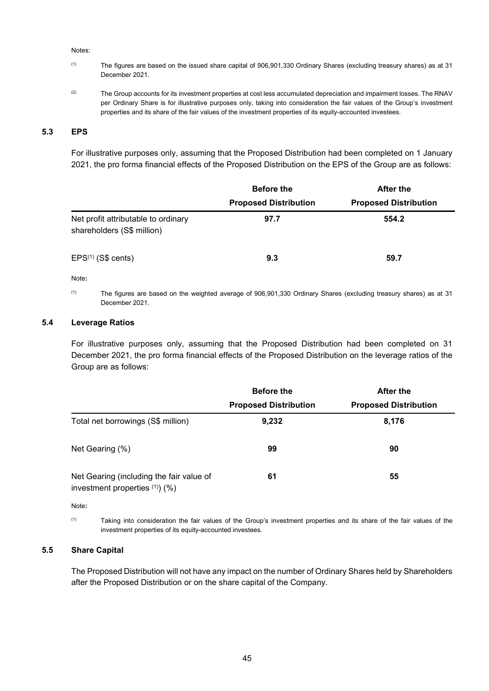#### Notes:

- (1) The figures are based on the issued share capital of 906,901,330 Ordinary Shares (excluding treasury shares) as at 31 December 2021.
- <sup>(2)</sup> The Group accounts for its investment properties at cost less accumulated depreciation and impairment losses. The RNAV per Ordinary Share is for illustrative purposes only, taking into consideration the fair values of the Group's investment properties and its share of the fair values of the investment properties of its equity-accounted investees.

## **5.3 EPS**

For illustrative purposes only, assuming that the Proposed Distribution had been completed on 1 January 2021, the pro forma financial effects of the Proposed Distribution on the EPS of the Group are as follows:

|                                                                   | <b>Before the</b>            | <b>After the</b>             |  |
|-------------------------------------------------------------------|------------------------------|------------------------------|--|
|                                                                   | <b>Proposed Distribution</b> | <b>Proposed Distribution</b> |  |
| Net profit attributable to ordinary<br>shareholders (S\$ million) | 97.7                         | 554.2                        |  |
| $EPS(1)$ (S\$ cents)                                              | 9.3                          | 59.7                         |  |

Note**:** 

(1) The figures are based on the weighted average of 906,901,330 Ordinary Shares (excluding treasury shares) as at 31 December 2021.

#### **5.4 Leverage Ratios**

For illustrative purposes only, assuming that the Proposed Distribution had been completed on 31 December 2021, the pro forma financial effects of the Proposed Distribution on the leverage ratios of the Group are as follows:

|                                                                             | <b>Before the</b>            | After the                    |  |
|-----------------------------------------------------------------------------|------------------------------|------------------------------|--|
|                                                                             | <b>Proposed Distribution</b> | <b>Proposed Distribution</b> |  |
| Total net borrowings (S\$ million)                                          | 9,232                        | 8,176                        |  |
| Net Gearing (%)                                                             | 99                           | 90                           |  |
| Net Gearing (including the fair value of<br>investment properties $(1)$ (%) | 61                           | 55                           |  |

Note**:** 

(1) Taking into consideration the fair values of the Group's investment properties and its share of the fair values of the investment properties of its equity-accounted investees.

#### **5.5 Share Capital**

The Proposed Distribution will not have any impact on the number of Ordinary Shares held by Shareholders after the Proposed Distribution or on the share capital of the Company.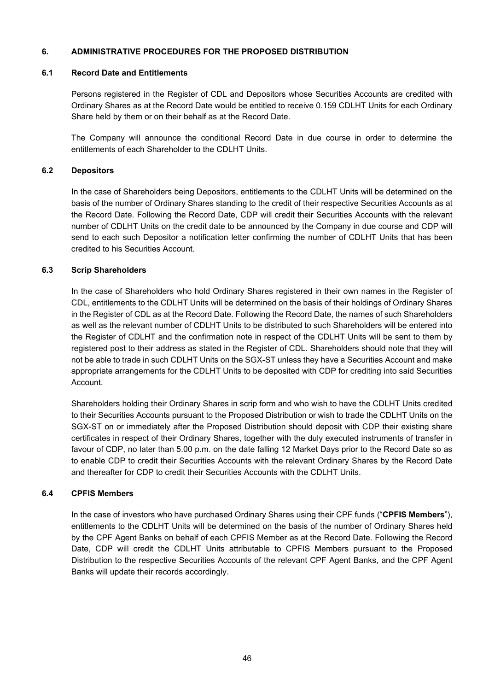## <span id="page-48-0"></span>**6. ADMINISTRATIVE PROCEDURES FOR THE PROPOSED DISTRIBUTION**

### **6.1 Record Date and Entitlements**

Persons registered in the Register of CDL and Depositors whose Securities Accounts are credited with Ordinary Shares as at the Record Date would be entitled to receive 0.159 CDLHT Units for each Ordinary Share held by them or on their behalf as at the Record Date.

The Company will announce the conditional Record Date in due course in order to determine the entitlements of each Shareholder to the CDLHT Units.

### **6.2 Depositors**

In the case of Shareholders being Depositors, entitlements to the CDLHT Units will be determined on the basis of the number of Ordinary Shares standing to the credit of their respective Securities Accounts as at the Record Date. Following the Record Date, CDP will credit their Securities Accounts with the relevant number of CDLHT Units on the credit date to be announced by the Company in due course and CDP will send to each such Depositor a notification letter confirming the number of CDLHT Units that has been credited to his Securities Account.

#### **6.3 Scrip Shareholders**

In the case of Shareholders who hold Ordinary Shares registered in their own names in the Register of CDL, entitlements to the CDLHT Units will be determined on the basis of their holdings of Ordinary Shares in the Register of CDL as at the Record Date. Following the Record Date, the names of such Shareholders as well as the relevant number of CDLHT Units to be distributed to such Shareholders will be entered into the Register of CDLHT and the confirmation note in respect of the CDLHT Units will be sent to them by registered post to their address as stated in the Register of CDL. Shareholders should note that they will not be able to trade in such CDLHT Units on the SGX-ST unless they have a Securities Account and make appropriate arrangements for the CDLHT Units to be deposited with CDP for crediting into said Securities Account.

Shareholders holding their Ordinary Shares in scrip form and who wish to have the CDLHT Units credited to their Securities Accounts pursuant to the Proposed Distribution or wish to trade the CDLHT Units on the SGX-ST on or immediately after the Proposed Distribution should deposit with CDP their existing share certificates in respect of their Ordinary Shares, together with the duly executed instruments of transfer in favour of CDP, no later than 5.00 p.m. on the date falling 12 Market Days prior to the Record Date so as to enable CDP to credit their Securities Accounts with the relevant Ordinary Shares by the Record Date and thereafter for CDP to credit their Securities Accounts with the CDLHT Units.

## **6.4 CPFIS Members**

In the case of investors who have purchased Ordinary Shares using their CPF funds ("**CPFIS Members**"), entitlements to the CDLHT Units will be determined on the basis of the number of Ordinary Shares held by the CPF Agent Banks on behalf of each CPFIS Member as at the Record Date. Following the Record Date, CDP will credit the CDLHT Units attributable to CPFIS Members pursuant to the Proposed Distribution to the respective Securities Accounts of the relevant CPF Agent Banks, and the CPF Agent Banks will update their records accordingly.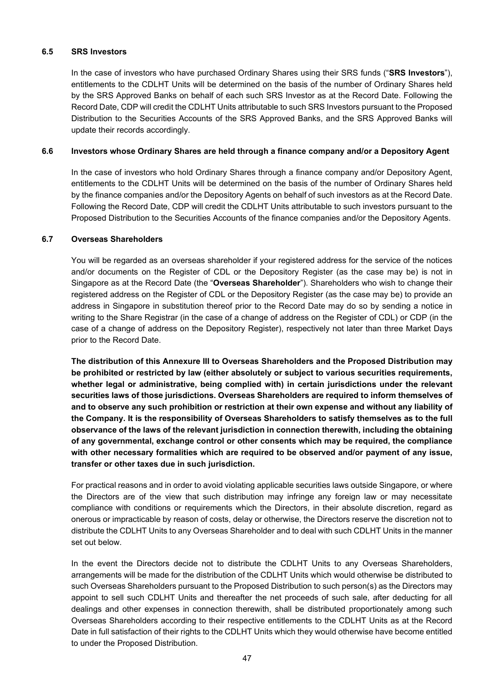## **6.5 SRS Investors**

In the case of investors who have purchased Ordinary Shares using their SRS funds ("**SRS Investors**"), entitlements to the CDLHT Units will be determined on the basis of the number of Ordinary Shares held by the SRS Approved Banks on behalf of each such SRS Investor as at the Record Date. Following the Record Date, CDP will credit the CDLHT Units attributable to such SRS Investors pursuant to the Proposed Distribution to the Securities Accounts of the SRS Approved Banks, and the SRS Approved Banks will update their records accordingly.

# **6.6 Investors whose Ordinary Shares are held through a finance company and/or a Depository Agent**

In the case of investors who hold Ordinary Shares through a finance company and/or Depository Agent, entitlements to the CDLHT Units will be determined on the basis of the number of Ordinary Shares held by the finance companies and/or the Depository Agents on behalf of such investors as at the Record Date. Following the Record Date, CDP will credit the CDLHT Units attributable to such investors pursuant to the Proposed Distribution to the Securities Accounts of the finance companies and/or the Depository Agents.

# **6.7 Overseas Shareholders**

You will be regarded as an overseas shareholder if your registered address for the service of the notices and/or documents on the Register of CDL or the Depository Register (as the case may be) is not in Singapore as at the Record Date (the "**Overseas Shareholder**"). Shareholders who wish to change their registered address on the Register of CDL or the Depository Register (as the case may be) to provide an address in Singapore in substitution thereof prior to the Record Date may do so by sending a notice in writing to the Share Registrar (in the case of a change of address on the Register of CDL) or CDP (in the case of a change of address on the Depository Register), respectively not later than three Market Days prior to the Record Date.

**The distribution of this Annexure III to Overseas Shareholders and the Proposed Distribution may be prohibited or restricted by law (either absolutely or subject to various securities requirements, whether legal or administrative, being complied with) in certain jurisdictions under the relevant securities laws of those jurisdictions. Overseas Shareholders are required to inform themselves of and to observe any such prohibition or restriction at their own expense and without any liability of the Company. It is the responsibility of Overseas Shareholders to satisfy themselves as to the full observance of the laws of the relevant jurisdiction in connection therewith, including the obtaining of any governmental, exchange control or other consents which may be required, the compliance with other necessary formalities which are required to be observed and/or payment of any issue, transfer or other taxes due in such jurisdiction.**

For practical reasons and in order to avoid violating applicable securities laws outside Singapore, or where the Directors are of the view that such distribution may infringe any foreign law or may necessitate compliance with conditions or requirements which the Directors, in their absolute discretion, regard as onerous or impracticable by reason of costs, delay or otherwise, the Directors reserve the discretion not to distribute the CDLHT Units to any Overseas Shareholder and to deal with such CDLHT Units in the manner set out below.

In the event the Directors decide not to distribute the CDLHT Units to any Overseas Shareholders, arrangements will be made for the distribution of the CDLHT Units which would otherwise be distributed to such Overseas Shareholders pursuant to the Proposed Distribution to such person(s) as the Directors may appoint to sell such CDLHT Units and thereafter the net proceeds of such sale, after deducting for all dealings and other expenses in connection therewith, shall be distributed proportionately among such Overseas Shareholders according to their respective entitlements to the CDLHT Units as at the Record Date in full satisfaction of their rights to the CDLHT Units which they would otherwise have become entitled to under the Proposed Distribution.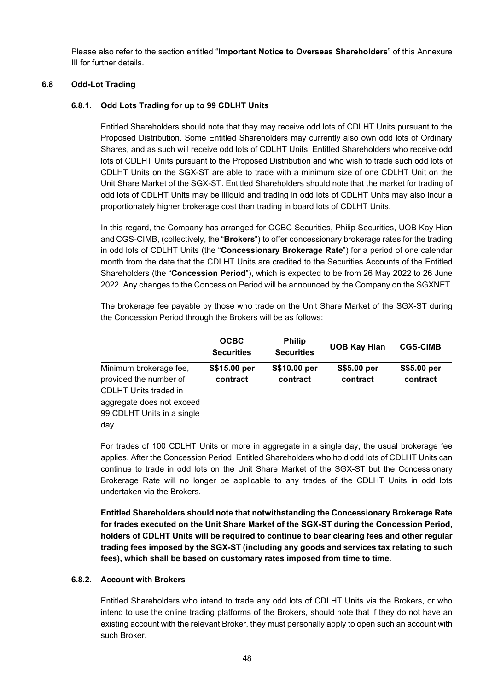Please also refer to the section entitled "**Important Notice to Overseas Shareholders**" of this Annexure III for further details.

## **6.8 Odd-Lot Trading**

# **6.8.1. Odd Lots Trading for up to 99 CDLHT Units**

Entitled Shareholders should note that they may receive odd lots of CDLHT Units pursuant to the Proposed Distribution. Some Entitled Shareholders may currently also own odd lots of Ordinary Shares, and as such will receive odd lots of CDLHT Units. Entitled Shareholders who receive odd lots of CDLHT Units pursuant to the Proposed Distribution and who wish to trade such odd lots of CDLHT Units on the SGX-ST are able to trade with a minimum size of one CDLHT Unit on the Unit Share Market of the SGX-ST. Entitled Shareholders should note that the market for trading of odd lots of CDLHT Units may be illiquid and trading in odd lots of CDLHT Units may also incur a proportionately higher brokerage cost than trading in board lots of CDLHT Units.

In this regard, the Company has arranged for OCBC Securities, Philip Securities, UOB Kay Hian and CGS-CIMB, (collectively, the "**Brokers**") to offer concessionary brokerage rates for the trading in odd lots of CDLHT Units (the "**Concessionary Brokerage Rate**") for a period of one calendar month from the date that the CDLHT Units are credited to the Securities Accounts of the Entitled Shareholders (the "**Concession Period**"), which is expected to be from 26 May 2022 to 26 June 2022. Any changes to the Concession Period will be announced by the Company on the SGXNET.

The brokerage fee payable by those who trade on the Unit Share Market of the SGX-ST during the Concession Period through the Brokers will be as follows:

|                                                                                  | <b>OCBC</b><br><b>Securities</b> | <b>Philip</b><br><b>Securities</b> | <b>UOB Kay Hian</b>     | <b>CGS-CIMB</b>         |
|----------------------------------------------------------------------------------|----------------------------------|------------------------------------|-------------------------|-------------------------|
| Minimum brokerage fee,<br>provided the number of<br><b>CDLHT Units traded in</b> | S\$15.00 per<br>contract         | S\$10.00 per<br>contract           | S\$5.00 per<br>contract | S\$5.00 per<br>contract |
| aggregate does not exceed<br>99 CDLHT Units in a single<br>day                   |                                  |                                    |                         |                         |

For trades of 100 CDLHT Units or more in aggregate in a single day, the usual brokerage fee applies. After the Concession Period, Entitled Shareholders who hold odd lots of CDLHT Units can continue to trade in odd lots on the Unit Share Market of the SGX-ST but the Concessionary Brokerage Rate will no longer be applicable to any trades of the CDLHT Units in odd lots undertaken via the Brokers.

**Entitled Shareholders should note that notwithstanding the Concessionary Brokerage Rate for trades executed on the Unit Share Market of the SGX-ST during the Concession Period, holders of CDLHT Units will be required to continue to bear clearing fees and other regular trading fees imposed by the SGX-ST (including any goods and services tax relating to such fees), which shall be based on customary rates imposed from time to time.**

# **6.8.2. Account with Brokers**

Entitled Shareholders who intend to trade any odd lots of CDLHT Units via the Brokers, or who intend to use the online trading platforms of the Brokers, should note that if they do not have an existing account with the relevant Broker, they must personally apply to open such an account with such Broker.